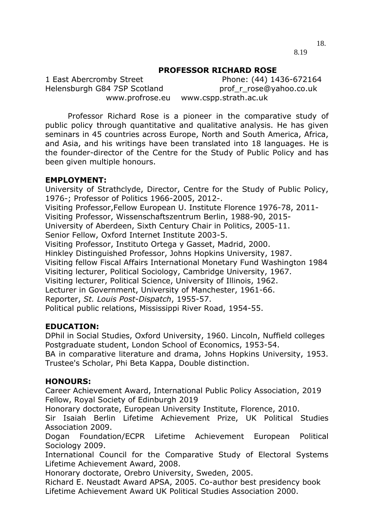18. 8.19

### **PROFESSOR RICHARD ROSE**

1 East Abercromby Street Phone: (44) 1436-672164 Helensburgh G84 7SP Scotland prof r rose@yahoo.co.uk www.profrose.eu www.cspp.strath.ac.uk

Professor Richard Rose is a pioneer in the comparative study of public policy through quantitative and qualitative analysis. He has given seminars in 45 countries across Europe, North and South America, Africa, and Asia, and his writings have been translated into 18 languages. He is the founder-director of the Centre for the Study of Public Policy and has been given multiple honours.

#### **EMPLOYMENT:**

University of Strathclyde, Director, Centre for the Study of Public Policy, 1976-; Professor of Politics 1966-2005, 2012-. Visiting Professor,Fellow European U. Institute Florence 1976-78, 2011- Visiting Professor, Wissenschaftszentrum Berlin, 1988-90, 2015- University of Aberdeen, Sixth Century Chair in Politics, 2005-11. Senior Fellow, Oxford Internet Institute 2003-5. Visiting Professor, Instituto Ortega y Gasset, Madrid, 2000. Hinkley Distinguished Professor, Johns Hopkins University, 1987. Visiting fellow Fiscal Affairs International Monetary Fund Washington 1984 Visiting lecturer, Political Sociology, Cambridge University, 1967. Visiting lecturer, Political Science, University of Illinois, 1962. Lecturer in Government, University of Manchester, 1961-66. Reporter, *St. Louis Post-Dispatch*, 1955-57. Political public relations, Mississippi River Road, 1954-55.

## **EDUCATION:**

DPhil in Social Studies, Oxford University, 1960. Lincoln, Nuffield colleges Postgraduate student, London School of Economics, 1953-54.

BA in comparative literature and drama, Johns Hopkins University, 1953. Trustee's Scholar, Phi Beta Kappa, Double distinction.

#### **HONOURS:**

Career Achievement Award, International Public Policy Association, 2019 Fellow, Royal Society of Edinburgh 2019

Honorary doctorate, European University Institute, Florence, 2010.

Sir Isaiah Berlin Lifetime Achievement Prize, UK Political Studies Association 2009.

Dogan Foundation/ECPR Lifetime Achievement European Political Sociology 2009.

International Council for the Comparative Study of Electoral Systems Lifetime Achievement Award, 2008.

Honorary doctorate, Orebro University, Sweden, 2005.

Richard E. Neustadt Award APSA, 2005. Co-author best presidency book Lifetime Achievement Award UK Political Studies Association 2000.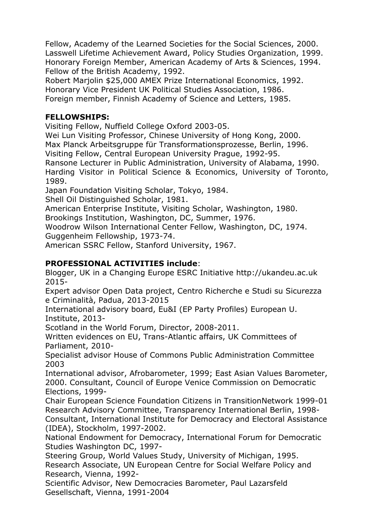Fellow, Academy of the Learned Societies for the Social Sciences, 2000. Lasswell Lifetime Achievement Award, Policy Studies Organization, 1999. Honorary Foreign Member, American Academy of Arts & Sciences, 1994. Fellow of the British Academy, 1992.

Robert Marjolin \$25,000 AMEX Prize International Economics, 1992. Honorary Vice President UK Political Studies Association, 1986. Foreign member, Finnish Academy of Science and Letters, 1985.

# **FELLOWSHIPS:**

Visiting Fellow, Nuffield College Oxford 2003-05.

Wei Lun Visiting Professor, Chinese University of Hong Kong, 2000.

Max Planck Arbeitsgruppe für Transformationsprozesse, Berlin, 1996.

Visiting Fellow, Central European University Prague, 1992-95.

Ransone Lecturer in Public Administration, University of Alabama, 1990. Harding Visitor in Political Science & Economics, University of Toronto, 1989.

Japan Foundation Visiting Scholar, Tokyo, 1984.

Shell Oil Distinguished Scholar, 1981.

American Enterprise Institute, Visiting Scholar, Washington, 1980.

Brookings Institution, Washington, DC, Summer, 1976.

Woodrow Wilson International Center Fellow, Washington, DC, 1974.

Guggenheim Fellowship, 1973-74.

American SSRC Fellow, Stanford University, 1967.

# **PROFESSIONAL ACTIVITIES include**:

Blogger, UK in a Changing Europe ESRC Initiative http://ukandeu.ac.uk 2015-

Expert advisor Open Data project, Centro Richerche e Studi su Sicurezza e Criminalità, Padua, 2013-2015

International advisory board, Eu&I (EP Party Profiles) European U. Institute, 2013-

Scotland in the World Forum, Director, 2008-2011.

Written evidences on EU, Trans-Atlantic affairs, UK Committees of Parliament, 2010-

Specialist advisor House of Commons Public Administration Committee 2003

International advisor, Afrobarometer, 1999; East Asian Values Barometer, 2000. Consultant, Council of Europe Venice Commission on Democratic Elections, 1999-

Chair European Science Foundation Citizens in TransitionNetwork 1999-01 Research Advisory Committee, Transparency International Berlin, 1998- Consultant, International Institute for Democracy and Electoral Assistance (IDEA), Stockholm, 1997-2002.

National Endowment for Democracy, International Forum for Democratic Studies Washington DC, 1997-

Steering Group, World Values Study, University of Michigan, 1995. Research Associate, UN European Centre for Social Welfare Policy and Research, Vienna, 1992-

Scientific Advisor, New Democracies Barometer, Paul Lazarsfeld Gesellschaft, Vienna, 1991-2004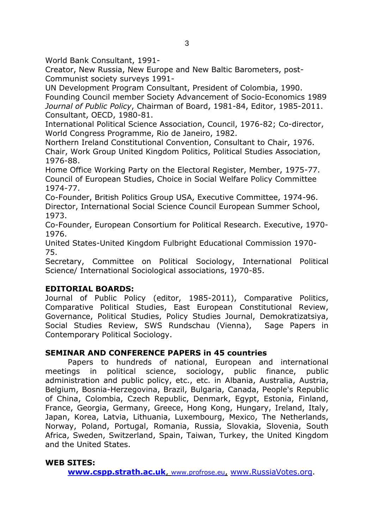World Bank Consultant, 1991-

Creator, New Russia, New Europe and New Baltic Barometers, post-Communist society surveys 1991-

UN Development Program Consultant, President of Colombia, 1990. Founding Council member Society Advancement of Socio-Economics 1989 *Journal of Public Policy*, Chairman of Board, 1981-84, Editor, 1985-2011. Consultant, OECD, 1980-81.

International Political Science Association, Council, 1976-82; Co-director, World Congress Programme, Rio de Janeiro, 1982.

Northern Ireland Constitutional Convention, Consultant to Chair, 1976. Chair, Work Group United Kingdom Politics, Political Studies Association, 1976-88.

Home Office Working Party on the Electoral Register, Member, 1975-77. Council of European Studies, Choice in Social Welfare Policy Committee 1974-77.

Co-Founder, British Politics Group USA, Executive Committee, 1974-96. Director, International Social Science Council European Summer School, 1973.

Co-Founder, European Consortium for Political Research. Executive, 1970- 1976.

United States-United Kingdom Fulbright Educational Commission 1970- 75.

Secretary, Committee on Political Sociology, International Political Science/ International Sociological associations, 1970-85.

# **EDITORIAL BOARDS:**

Journal of Public Policy (editor, 1985-2011), Comparative Politics, Comparative Political Studies, East European Constitutional Review, Governance, Political Studies, Policy Studies Journal, Demokratizatsiya, Social Studies Review, SWS Rundschau (Vienna), Sage Papers in Contemporary Political Sociology.

# **SEMINAR AND CONFERENCE PAPERS in 45 countries**

Papers to hundreds of national, European and international meetings in political science, sociology, public finance, public administration and public policy, etc., etc. in Albania, Australia, Austria, Belgium, Bosnia-Herzegovina, Brazil, Bulgaria, Canada, People's Republic of China, Colombia, Czech Republic, Denmark, Egypt, Estonia, Finland, France, Georgia, Germany, Greece, Hong Kong, Hungary, Ireland, Italy, Japan, Korea, Latvia, Lithuania, Luxembourg, Mexico, The Netherlands, Norway, Poland, Portugal, Romania, Russia, Slovakia, Slovenia, South Africa, Sweden, Switzerland, Spain, Taiwan, Turkey, the United Kingdom and the United States.

## **WEB SITES:**

**[www.cspp.strath.ac.uk](http://www.cspp.strath.ac.uk/)**, [www.profrose.eu](http://www.profrose.eu/), [www.RussiaVotes.org.](http://www.russiavotes.org/)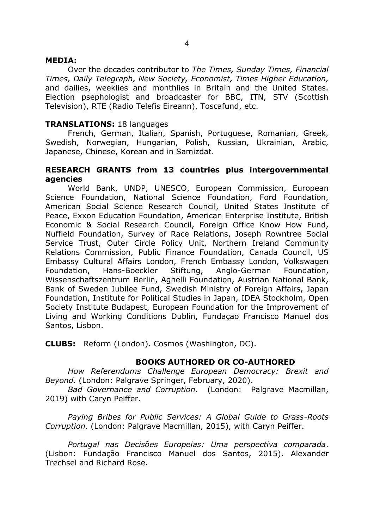### **MEDIA:**

Over the decades contributor to *The Times, Sunday Times, Financial Times, Daily Telegraph, New Society, Economist, Times Higher Education,*  and dailies, weeklies and monthlies in Britain and the United States. Election psephologist and broadcaster for BBC, ITN, STV (Scottish Television), RTE (Radio Telefis Eireann), Toscafund, etc.

# **TRANSLATIONS:** 18 languages

French, German, Italian, Spanish, Portuguese, Romanian, Greek, Swedish, Norwegian, Hungarian, Polish, Russian, Ukrainian, Arabic, Japanese, Chinese, Korean and in Samizdat.

## **RESEARCH GRANTS from 13 countries plus intergovernmental agencies**

World Bank, UNDP, UNESCO, European Commission, European Science Foundation, National Science Foundation, Ford Foundation, American Social Science Research Council, United States Institute of Peace, Exxon Education Foundation, American Enterprise Institute, British Economic & Social Research Council, Foreign Office Know How Fund, Nuffield Foundation, Survey of Race Relations, Joseph Rowntree Social Service Trust, Outer Circle Policy Unit, Northern Ireland Community Relations Commission, Public Finance Foundation, Canada Council, US Embassy Cultural Affairs London, French Embassy London, Volkswagen Foundation, Hans-Boeckler Stiftung, Anglo-German Foundation, Wissenschaftszentrum Berlin, Agnelli Foundation, Austrian National Bank, Bank of Sweden Jubilee Fund, Swedish Ministry of Foreign Affairs, Japan Foundation, Institute for Political Studies in Japan, IDEA Stockholm, Open Society Institute Budapest, European Foundation for the Improvement of Living and Working Conditions Dublin, Fundaçao Francisco Manuel dos Santos, Lisbon.

**CLUBS:** Reform (London). Cosmos (Washington, DC).

## **BOOKS AUTHORED OR CO-AUTHORED**

*How Referendums Challenge European Democracy: Brexit and Beyond.* (London: Palgrave Springer, February, 2020).

*Bad Governance and Corruption*. (London: Palgrave Macmillan, 2019) with Caryn Peiffer.

*Paying Bribes for Public Services: A Global Guide to Grass-Roots Corruption*. (London: Palgrave Macmillan, 2015), with Caryn Peiffer.

*Portugal nas Decisões Europeias: Uma perspectiva comparada*. (Lisbon: Fundação Francisco Manuel dos Santos, 2015). Alexander Trechsel and Richard Rose.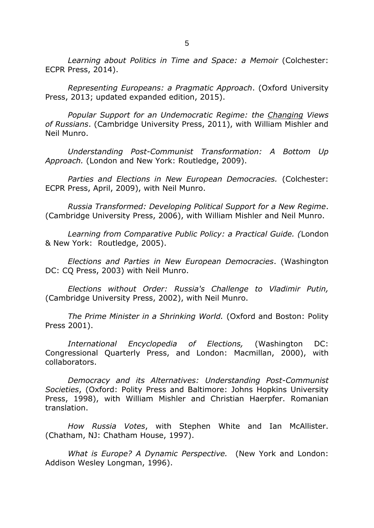Learning about Politics in Time and Space: a Memoir (Colchester: ECPR Press, 2014).

*Representing Europeans: a Pragmatic Approach*. (Oxford University Press, 2013; updated expanded edition, 2015).

*Popular Support for an Undemocratic Regime: the Changing Views of Russians*. (Cambridge University Press, 2011), with William Mishler and Neil Munro.

*Understanding Post-Communist Transformation: A Bottom Up Approach.* (London and New York: Routledge, 2009).

*Parties and Elections in New European Democracies.* (Colchester: ECPR Press, April, 2009), with Neil Munro.

*Russia Transformed: Developing Political Support for a New Regime*. (Cambridge University Press, 2006), with William Mishler and Neil Munro.

*Learning from Comparative Public Policy: a Practical Guide. (*London & New York: Routledge, 2005).

*Elections and Parties in New European Democracies*. (Washington DC: CQ Press, 2003) with Neil Munro.

*Elections without Order: Russia's Challenge to Vladimir Putin,*  (Cambridge University Press, 2002), with Neil Munro.

*The Prime Minister in a Shrinking World.* (Oxford and Boston: Polity Press 2001).

*International Encyclopedia of Elections,* (Washington DC: Congressional Quarterly Press, and London: Macmillan, 2000), with collaborators.

*Democracy and its Alternatives: Understanding Post-Communist Societies*, (Oxford: Polity Press and Baltimore: Johns Hopkins University Press, 1998), with William Mishler and Christian Haerpfer. Romanian translation.

*How Russia Votes*, with Stephen White and Ian McAllister. (Chatham, NJ: Chatham House, 1997).

*What is Europe? A Dynamic Perspective.* (New York and London: Addison Wesley Longman, 1996).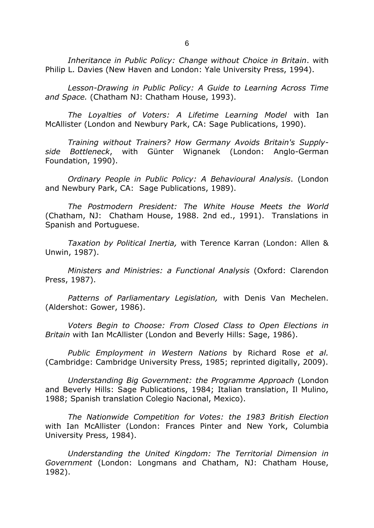*Inheritance in Public Policy: Change without Choice in Britain*. with Philip L. Davies (New Haven and London: Yale University Press, 1994).

*Lesson-Drawing in Public Policy: A Guide to Learning Across Time and Space.* (Chatham NJ: Chatham House, 1993).

*The Loyalties of Voters: A Lifetime Learning Model* with Ian McAllister (London and Newbury Park, CA: Sage Publications, 1990).

*Training without Trainers? How Germany Avoids Britain's Supplyside Bottleneck*, with Günter Wignanek (London: Anglo-German Foundation, 1990).

*Ordinary People in Public Policy: A Behavioural Analysis*. (London and Newbury Park, CA: Sage Publications, 1989).

*The Postmodern President: The White House Meets the World* (Chatham, NJ: Chatham House, 1988. 2nd ed., 1991). Translations in Spanish and Portuguese.

*Taxation by Political Inertia,* with Terence Karran (London: Allen & Unwin, 1987).

*Ministers and Ministries: a Functional Analysis* (Oxford: Clarendon Press, 1987).

*Patterns of Parliamentary Legislation,* with Denis Van Mechelen. (Aldershot: Gower, 1986).

*Voters Begin to Choose: From Closed Class to Open Elections in Britain* with Ian McAllister (London and Beverly Hills: Sage, 1986).

*Public Employment in Western Nations* by Richard Rose *et al.* (Cambridge: Cambridge University Press, 1985; reprinted digitally, 2009).

*Understanding Big Government: the Programme Approach* (London and Beverly Hills: Sage Publications, 1984; Italian translation, Il Mulino, 1988; Spanish translation Colegio Nacional, Mexico).

*The Nationwide Competition for Votes: the 1983 British Election* with Ian McAllister (London: Frances Pinter and New York, Columbia University Press, 1984).

*Understanding the United Kingdom: The Territorial Dimension in Government* (London: Longmans and Chatham, NJ: Chatham House, 1982).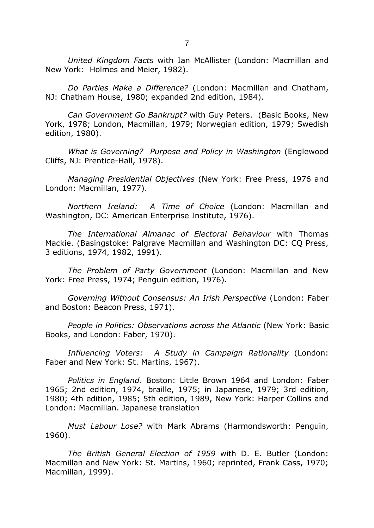*United Kingdom Facts* with Ian McAllister (London: Macmillan and New York: Holmes and Meier, 1982).

*Do Parties Make a Difference?* (London: Macmillan and Chatham, NJ: Chatham House, 1980; expanded 2nd edition, 1984).

*Can Government Go Bankrupt?* with Guy Peters. (Basic Books, New York, 1978; London, Macmillan, 1979; Norwegian edition, 1979; Swedish edition, 1980).

*What is Governing? Purpose and Policy in Washington* (Englewood Cliffs, NJ: Prentice-Hall, 1978).

*Managing Presidential Objectives* (New York: Free Press, 1976 and London: Macmillan, 1977).

*Northern Ireland: A Time of Choice* (London: Macmillan and Washington, DC: American Enterprise Institute, 1976).

*The International Almanac of Electoral Behaviour* with Thomas Mackie. (Basingstoke: Palgrave Macmillan and Washington DC: CQ Press, 3 editions, 1974, 1982, 1991).

*The Problem of Party Government* (London: Macmillan and New York: Free Press, 1974; Penguin edition, 1976).

*Governing Without Consensus: An Irish Perspective* (London: Faber and Boston: Beacon Press, 1971).

*People in Politics: Observations across the Atlantic* (New York: Basic Books, and London: Faber, 1970).

*Influencing Voters: A Study in Campaign Rationality* (London: Faber and New York: St. Martins, 1967).

*Politics in England*. Boston: Little Brown 1964 and London: Faber 1965; 2nd edition, 1974, braille, 1975; in Japanese, 1979; 3rd edition, 1980; 4th edition, 1985; 5th edition, 1989, New York: Harper Collins and London: Macmillan. Japanese translation

*Must Labour Lose?* with Mark Abrams (Harmondsworth: Penguin, 1960).

*The British General Election of 1959* with D. E. Butler (London: Macmillan and New York: St. Martins, 1960; reprinted, Frank Cass, 1970; Macmillan, 1999).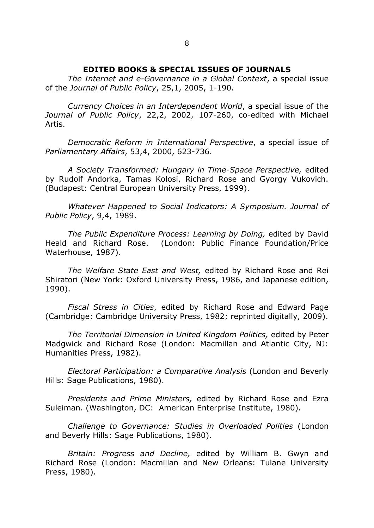#### **EDITED BOOKS & SPECIAL ISSUES OF JOURNALS**

*The Internet and e-Governance in a Global Context*, a special issue of the *Journal of Public Policy*, 25,1, 2005, 1-190.

*Currency Choices in an Interdependent World*, a special issue of the *Journal of Public Policy*, 22,2, 2002, 107-260, co-edited with Michael Artis.

*Democratic Reform in International Perspective*, a special issue of *Parliamentary Affairs*, 53,4, 2000, 623-736.

*A Society Transformed: Hungary in Time-Space Perspective,* edited by Rudolf Andorka, Tamas Kolosi, Richard Rose and Gyorgy Vukovich. (Budapest: Central European University Press, 1999).

*Whatever Happened to Social Indicators: A Symposium. Journal of Public Policy*, 9,4, 1989.

*The Public Expenditure Process: Learning by Doing,* edited by David Heald and Richard Rose. (London: Public Finance Foundation/Price Waterhouse, 1987).

*The Welfare State East and West,* edited by Richard Rose and Rei Shiratori (New York: Oxford University Press, 1986, and Japanese edition, 1990).

*Fiscal Stress in Cities*, edited by Richard Rose and Edward Page (Cambridge: Cambridge University Press, 1982; reprinted digitally, 2009).

*The Territorial Dimension in United Kingdom Politics,* edited by Peter Madgwick and Richard Rose (London: Macmillan and Atlantic City, NJ: Humanities Press, 1982).

*Electoral Participation: a Comparative Analysis* (London and Beverly Hills: Sage Publications, 1980).

*Presidents and Prime Ministers,* edited by Richard Rose and Ezra Suleiman. (Washington, DC: American Enterprise Institute, 1980).

*Challenge to Governance: Studies in Overloaded Polities* (London and Beverly Hills: Sage Publications, 1980).

*Britain: Progress and Decline,* edited by William B. Gwyn and Richard Rose (London: Macmillan and New Orleans: Tulane University Press, 1980).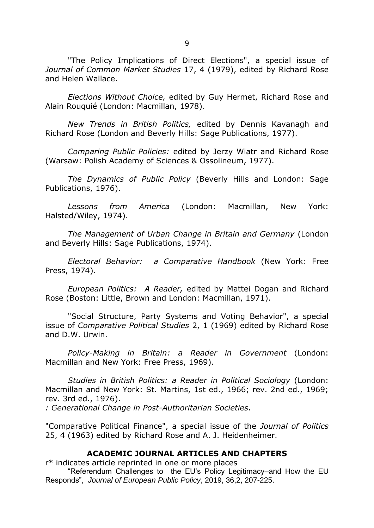"The Policy Implications of Direct Elections", a special issue of *Journal of Common Market Studies* 17, 4 (1979), edited by Richard Rose and Helen Wallace.

*Elections Without Choice,* edited by Guy Hermet, Richard Rose and Alain Rouquié (London: Macmillan, 1978).

*New Trends in British Politics,* edited by Dennis Kavanagh and Richard Rose (London and Beverly Hills: Sage Publications, 1977).

*Comparing Public Policies:* edited by Jerzy Wiatr and Richard Rose (Warsaw: Polish Academy of Sciences & Ossolineum, 1977).

*The Dynamics of Public Policy* (Beverly Hills and London: Sage Publications, 1976).

*Lessons from America* (London: Macmillan, New York: Halsted/Wiley, 1974).

*The Management of Urban Change in Britain and Germany* (London and Beverly Hills: Sage Publications, 1974).

*Electoral Behavior: a Comparative Handbook* (New York: Free Press, 1974).

*European Politics: A Reader,* edited by Mattei Dogan and Richard Rose (Boston: Little, Brown and London: Macmillan, 1971).

"Social Structure, Party Systems and Voting Behavior", a special issue of *Comparative Political Studies* 2, 1 (1969) edited by Richard Rose and D.W. Urwin.

*Policy-Making in Britain: a Reader in Government* (London: Macmillan and New York: Free Press, 1969).

*Studies in British Politics: a Reader in Political Sociology* (London: Macmillan and New York: St. Martins, 1st ed., 1966; rev. 2nd ed., 1969; rev. 3rd ed., 1976).

*: Generational Change in Post-Authoritarian Societies*.

"Comparative Political Finance", a special issue of the *Journal of Politics* 25, 4 (1963) edited by Richard Rose and A. J. Heidenheimer.

#### **ACADEMIC JOURNAL ARTICLES AND CHAPTERS**

r\* indicates article reprinted in one or more places "Referendum Challenges to the EU's Policy Legitimacy–and How the EU Responds", *Journal of European Public Policy*, 2019, 36,2, 207-225.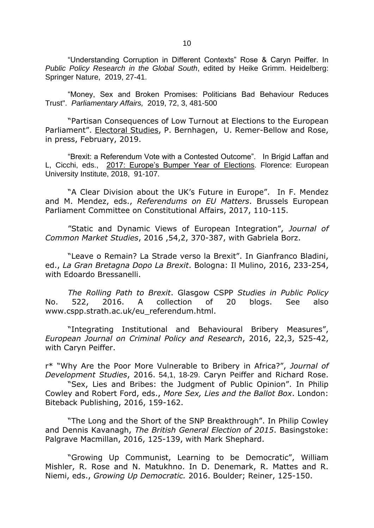"Understanding Corruption in Different Contexts" Rose & Caryn Peiffer. In *Public Policy Research in the Global South*, edited by Heike Grimm. Heidelberg: Springer Nature, 2019, 27-41.

"Money, Sex and Broken Promises: Politicians Bad Behaviour Reduces Trust". *Parliamentary Affairs,* 2019, 72, 3, 481-500

"Partisan Consequences of Low Turnout at Elections to the European Parliament". Electoral Studies, P. Bernhagen, U. Remer-Bellow and Rose, in press, February, 2019.

"Brexit: a Referendum Vote with a Contested Outcome". In Brigid Laffan and L, Cicchi, eds., 2017: Europe's Bumper Year of Elections. Florence: European University Institute, 2018, 91-107.

"A Clear Division about the UK's Future in Europe". In F. Mendez and M. Mendez, eds., *Referendums on EU Matters*. Brussels European Parliament Committee on Constitutional Affairs, 2017, 110-115.

"Static and Dynamic Views of European Integration", *Journal of Common Market Studies*, 2016 ,54,2, 370-387, with Gabriela Borz.

"Leave o Remain? La Strade verso la Brexit". In Gianfranco Bladini, ed., *La Gran Bretagna Dopo La Brexit*. Bologna: Il Mulino, 2016, 233-254, with Edoardo Bressanelli.

*The Rolling Path to Brexit*. Glasgow CSPP *Studies in Public Policy* No. 522, 2016. A collection of 20 blogs. See also www.cspp.strath.ac.uk/eu\_referendum.html.

"Integrating Institutional and Behavioural Bribery Measures", *European Journal on Criminal Policy and Research*, 2016, 22,3, 525-42, with Caryn Peiffer.

r\* "Why Are the Poor More Vulnerable to Bribery in Africa?", *Journal of Development Studies*, 2016. 54,1, 18-29. Caryn Peiffer and Richard Rose.

"Sex, Lies and Bribes: the Judgment of Public Opinion". In Philip Cowley and Robert Ford, eds., *More Sex, Lies and the Ballot Box*. London: Biteback Publishing, 2016, 159-162.

"The Long and the Short of the SNP Breakthrough". In Philip Cowley and Dennis Kavanagh, *The British General Election of 2015*. Basingstoke: Palgrave Macmillan, 2016, 125-139, with Mark Shephard.

"Growing Up Communist, Learning to be Democratic", William Mishler, R. Rose and N. Matukhno. In D. Denemark, R. Mattes and R. Niemi, eds., *Growing Up Democratic.* 2016. Boulder; Reiner, 125-150.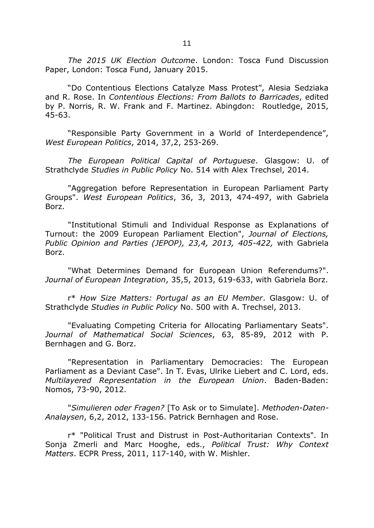*The 2015 UK Election Outcome*. London: Tosca Fund Discussion Paper, London: Tosca Fund, January 2015.

"Do Contentious Elections Catalyze Mass Protest", Alesia Sedziaka and R. Rose. In *Contentious Elections: From Ballots to Barricades*, edited by P. Norris, R. W. Frank and F. Martinez. Abingdon: Routledge, 2015, 45-63.

"Responsible Party Government in a World of Interdependence", *West European Politics*, 2014, 37,2, 253-269.

*The European Political Capital of Portuguese*. Glasgow: U. of Strathclyde *Studies in Public Policy* No. 514 with Alex Trechsel, 2014.

"Aggregation before Representation in European Parliament Party Groups". *West European Politics*, 36, 3, 2013, 474-497, with Gabriela Borz.

"Institutional Stimuli and Individual Response as Explanations of Turnout: the 2009 European Parliament Election", *Journal of Elections, Public Opinion and Parties (JEPOP), 23,4, 2013, 405-422,* with Gabriela Borz.

"What Determines Demand for European Union Referendums?". *Journal of European Integration*, 35,5, 2013, 619-633, with Gabriela Borz.

r\* *How Size Matters: Portugal as an EU Member*. Glasgow: U. of Strathclyde *Studies in Public Policy* No. 500 with A. Trechsel, 2013.

"Evaluating Competing Criteria for Allocating Parliamentary Seats". *Journal of Mathematical Social Sciences*, 63, 85-89, 2012 with P. Bernhagen and G. Borz.

"Representation in Parliamentary Democracies: The European Parliament as a Deviant Case". In T. Evas, Ulrike Liebert and C. Lord, eds. *Multilayered Representation in the European Union*. Baden-Baden: Nomos, 73-90, 2012.

"*Simulieren oder Fragen?* [To Ask or to Simulate]. *Methoden-Daten-Analaysen*, 6,2, 2012, 133-156. Patrick Bernhagen and Rose.

r\* "Political Trust and Distrust in Post-Authoritarian Contexts". In Sonja Zmerli and Marc Hooghe, eds., *Political Trust: Why Context Matters*. ECPR Press, 2011, 117-140, with W. Mishler.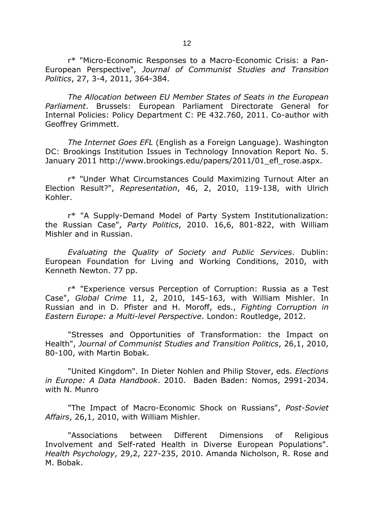r\* "Micro-Economic Responses to a Macro-Economic Crisis: a Pan-European Perspective", *Journal of Communist Studies and Transition Politics*, 27, 3-4, 2011, 364-384.

*The Allocation between EU Member States of Seats in the European Parliament*. Brussels: European Parliament Directorate General for Internal Policies: Policy Department C: PE 432.760, 2011. Co-author with Geoffrey Grimmett.

*The Internet Goes EFL* (English as a Foreign Language). Washington DC: Brookings Institution Issues in Technology Innovation Report No. 5. January 2011 http://www.brookings.edu/papers/2011/01 efl rose.aspx.

r\* "Under What Circumstances Could Maximizing Turnout Alter an Election Result?", *Representation*, 46, 2, 2010, 119-138, with Ulrich Kohler.

r\* "A Supply-Demand Model of Party System Institutionalization: the Russian Case", *Party Politics*, 2010. 16,6, 801-822, with William Mishler and in Russian.

*Evaluating the Quality of Society and Public Services*. Dublin: European Foundation for Living and Working Conditions, 2010, with Kenneth Newton. 77 pp.

r\* "Experience versus Perception of Corruption: Russia as a Test Case", *Global Crime* 11, 2, 2010, 145-163, with William Mishler. In Russian and in D. Pfister and H. Moroff, eds., *Fighting Corruption in Eastern Europe: a Multi-level Perspective*. London: Routledge, 2012.

"Stresses and Opportunities of Transformation: the Impact on Health", *Journal of Communist Studies and Transition Politics*, 26,1, 2010, 80-100, with Martin Bobak.

"United Kingdom". In Dieter Nohlen and Philip Stover, eds. *Elections in Europe: A Data Handbook*. 2010. Baden Baden: Nomos, 2991-2034. with N. Munro

"The Impact of Macro-Economic Shock on Russians", *Post-Soviet Affairs*, 26,1, 2010, with William Mishler.

"Associations between Different Dimensions of Religious Involvement and Self-rated Health in Diverse European Populations". *Health Psychology*, 29,2, 227-235, 2010. Amanda Nicholson, R. Rose and M. Bobak.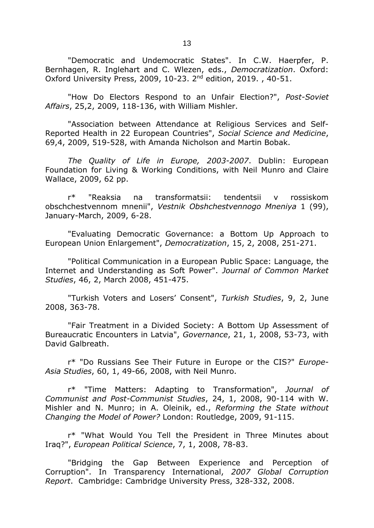"Democratic and Undemocratic States". In C.W. Haerpfer, P. Bernhagen, R. Inglehart and C. Wlezen, eds., *Democratization*. Oxford: Oxford University Press, 2009, 10-23. 2nd edition, 2019. , 40-51.

"How Do Electors Respond to an Unfair Election?", *Post-Soviet Affairs*, 25,2, 2009, 118-136, with William Mishler.

"Association between Attendance at Religious Services and Self-Reported Health in 22 European Countries", *Social Science and Medicine*, 69,4, 2009, 519-528, with Amanda Nicholson and Martin Bobak.

*The Quality of Life in Europe, 2003-2007*. Dublin: European Foundation for Living & Working Conditions, with Neil Munro and Claire Wallace, 2009, 62 pp.

r\* "Reaksia na transformatsii: tendentsii v rossiskom obschchestvennom mnenii", *Vestnik Obshchestvennogo Mneniya* 1 (99), January-March, 2009, 6-28.

"Evaluating Democratic Governance: a Bottom Up Approach to European Union Enlargement", *Democratization*, 15, 2, 2008, 251-271.

"Political Communication in a European Public Space: Language, the Internet and Understanding as Soft Power". *Journal of Common Market Studies*, 46, 2, March 2008, 451-475.

"Turkish Voters and Losers' Consent", *Turkish Studies*, 9, 2, June 2008, 363-78.

"Fair Treatment in a Divided Society: A Bottom Up Assessment of Bureaucratic Encounters in Latvia", *Governance*, 21, 1, 2008, 53-73, with David Galbreath.

r\* "Do Russians See Their Future in Europe or the CIS?" *Europe-Asia Studies*, 60, 1, 49-66, 2008, with Neil Munro.

r\* "Time Matters: Adapting to Transformation", *Journal of Communist and Post-Communist Studies*, 24, 1, 2008, 90-114 with W. Mishler and N. Munro; in A. Oleinik, ed., *Reforming the State without Changing the Model of Power?* London: Routledge, 2009, 91-115.

r\* "What Would You Tell the President in Three Minutes about Iraq?", *European Political Science*, 7, 1, 2008, 78-83.

"Bridging the Gap Between Experience and Perception of Corruption". In Transparency International, *2007 Global Corruption Report*. Cambridge: Cambridge University Press, 328-332, 2008.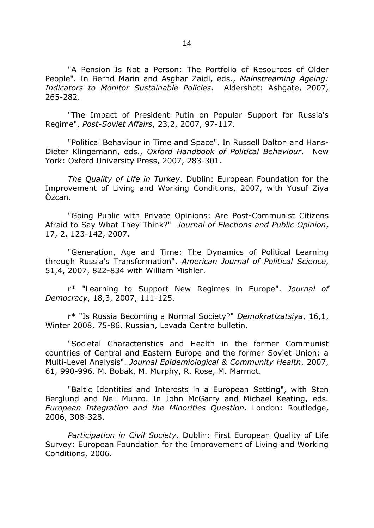"A Pension Is Not a Person: The Portfolio of Resources of Older People". In Bernd Marin and Asghar Zaidi, eds., *Mainstreaming Ageing: Indicators to Monitor Sustainable Policies*. Aldershot: Ashgate, 2007, 265-282.

"The Impact of President Putin on Popular Support for Russia's Regime", *Post-Soviet Affairs*, 23,2, 2007, 97-117.

"Political Behaviour in Time and Space". In Russell Dalton and Hans-Dieter Klingemann, eds., *Oxford Handbook of Political Behaviour*. New York: Oxford University Press, 2007, 283-301.

*The Quality of Life in Turkey*. Dublin: European Foundation for the Improvement of Living and Working Conditions, 2007, with Yusuf Ziya Özcan.

"Going Public with Private Opinions: Are Post-Communist Citizens Afraid to Say What They Think?" *Journal of Elections and Public Opinion*, 17, 2, 123-142, 2007.

"Generation, Age and Time: The Dynamics of Political Learning through Russia's Transformation", *American Journal of Political Science*, 51,4, 2007, 822-834 with William Mishler.

r\* "Learning to Support New Regimes in Europe". *Journal of Democracy*, 18,3, 2007, 111-125.

r\* "Is Russia Becoming a Normal Society?" *Demokratizatsiya*, 16,1, Winter 2008, 75-86. Russian, Levada Centre bulletin.

"Societal Characteristics and Health in the former Communist countries of Central and Eastern Europe and the former Soviet Union: a Multi-Level Analysis". *Journal Epidemiological & Community Health*, 2007, 61, 990-996. M. Bobak, M. Murphy, R. Rose, M. Marmot.

"Baltic Identities and Interests in a European Setting", with Sten Berglund and Neil Munro. In John McGarry and Michael Keating, eds. *European Integration and the Minorities Question*. London: Routledge, 2006, 308-328.

*Participation in Civil Society*. Dublin: First European Quality of Life Survey: European Foundation for the Improvement of Living and Working Conditions, 2006.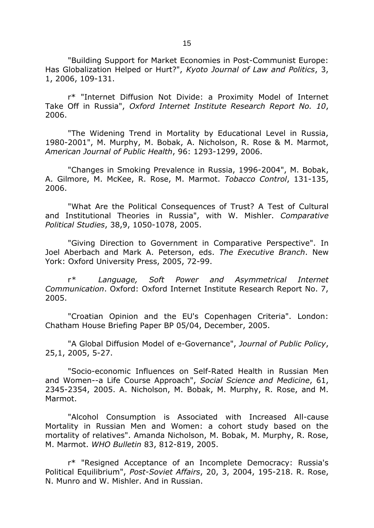"Building Support for Market Economies in Post-Communist Europe: Has Globalization Helped or Hurt?", *Kyoto Journal of Law and Politics*, 3, 1, 2006, 109-131.

r\* "Internet Diffusion Not Divide: a Proximity Model of Internet Take Off in Russia", *Oxford Internet Institute Research Report No. 10*, 2006.

"The Widening Trend in Mortality by Educational Level in Russia, 1980-2001", M. Murphy, M. Bobak, A. Nicholson, R. Rose & M. Marmot, *American Journal of Public Health*, 96: 1293-1299, 2006.

"Changes in Smoking Prevalence in Russia, 1996-2004", M. Bobak, A. Gilmore, M. McKee, R. Rose, M. Marmot. *Tobacco Control*, 131-135, 2006.

"What Are the Political Consequences of Trust? A Test of Cultural and Institutional Theories in Russia", with W. Mishler. *Comparative Political Studies*, 38,9, 1050-1078, 2005.

"Giving Direction to Government in Comparative Perspective". In Joel Aberbach and Mark A. Peterson, eds. *The Executive Branch*. New York: Oxford University Press, 2005, 72-99.

r*\* Language, Soft Power and Asymmetrical Internet Communication*. Oxford: Oxford Internet Institute Research Report No. 7, 2005.

"Croatian Opinion and the EU's Copenhagen Criteria". London: Chatham House Briefing Paper BP 05/04, December, 2005.

"A Global Diffusion Model of e-Governance", *Journal of Public Policy*, 25,1, 2005, 5-27.

"Socio-economic Influences on Self-Rated Health in Russian Men and Women--a Life Course Approach", *Social Science and Medicine*, 61, 2345-2354, 2005. A. Nicholson, M. Bobak, M. Murphy, R. Rose, and M. Marmot.

"Alcohol Consumption is Associated with Increased All-cause Mortality in Russian Men and Women: a cohort study based on the mortality of relatives". Amanda Nicholson, M. Bobak, M. Murphy, R. Rose, M. Marmot. *WHO Bulletin* 83, 812-819, 2005.

r\* "Resigned Acceptance of an Incomplete Democracy: Russia's Political Equilibrium", *Post-Soviet Affairs*, 20, 3, 2004, 195-218. R. Rose, N. Munro and W. Mishler. And in Russian.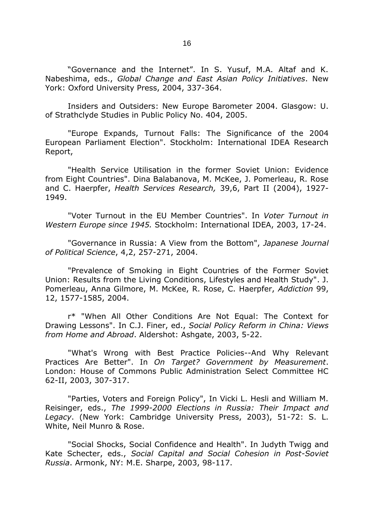"Governance and the Internet". In S. Yusuf, M.A. Altaf and K. Nabeshima, eds., *Global Change and East Asian Policy Initiatives*. New York: Oxford University Press, 2004, 337-364.

Insiders and Outsiders: New Europe Barometer 2004. Glasgow: U. of Strathclyde Studies in Public Policy No. 404, 2005.

"Europe Expands, Turnout Falls: The Significance of the 2004 European Parliament Election". Stockholm: International IDEA Research Report,

"Health Service Utilisation in the former Soviet Union: Evidence from Eight Countries". Dina Balabanova, M. McKee, J. Pomerleau, R. Rose and C. Haerpfer, *Health Services Research,* 39,6, Part II (2004), 1927- 1949.

"Voter Turnout in the EU Member Countries". In *Voter Turnout in Western Europe since 1945.* Stockholm: International IDEA, 2003, 17-24.

"Governance in Russia: A View from the Bottom", *Japanese Journal of Political Science*, 4,2, 257-271, 2004.

"Prevalence of Smoking in Eight Countries of the Former Soviet Union: Results from the Living Conditions, Lifestyles and Health Study". J. Pomerleau, Anna Gilmore, M. McKee, R. Rose, C. Haerpfer, *Addiction* 99, 12, 1577-1585, 2004.

r\* "When All Other Conditions Are Not Equal: The Context for Drawing Lessons". In C.J. Finer, ed., *Social Policy Reform in China: Views from Home and Abroad*. Aldershot: Ashgate, 2003, 5-22.

"What's Wrong with Best Practice Policies--And Why Relevant Practices Are Better". In *On Target? Government by Measurement*. London: House of Commons Public Administration Select Committee HC 62-II, 2003, 307-317.

"Parties, Voters and Foreign Policy", In Vicki L. Hesli and William M. Reisinger, eds., *The 1999-2000 Elections in Russia: Their Impact and Legacy*. (New York: Cambridge University Press, 2003), 51-72: S. L. White, Neil Munro & Rose.

"Social Shocks, Social Confidence and Health". In Judyth Twigg and Kate Schecter, eds., *Social Capital and Social Cohesion in Post-Soviet Russia*. Armonk, NY: M.E. Sharpe, 2003, 98-117.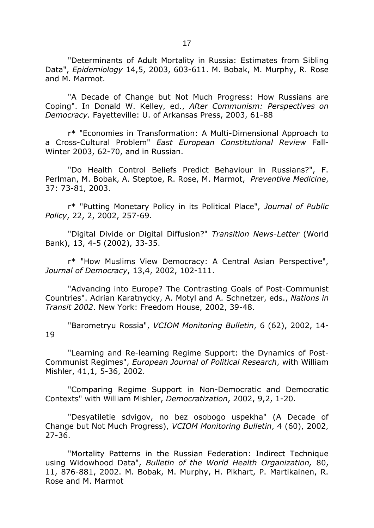"Determinants of Adult Mortality in Russia: Estimates from Sibling Data", *Epidemiology* 14,5, 2003, 603-611. M. Bobak, M. Murphy, R. Rose and M. Marmot.

"A Decade of Change but Not Much Progress: How Russians are Coping". In Donald W. Kelley, ed., *After Communism: Perspectives on Democracy.* Fayetteville: U. of Arkansas Press, 2003, 61-88

r\* "Economies in Transformation: A Multi-Dimensional Approach to a Cross-Cultural Problem" *East European Constitutional Review* Fall-Winter 2003, 62-70, and in Russian.

"Do Health Control Beliefs Predict Behaviour in Russians?", F. Perlman, M. Bobak, A. Steptoe, R. Rose, M. Marmot, *Preventive Medicine*, 37: 73-81, 2003.

r\* "Putting Monetary Policy in its Political Place", *Journal of Public Policy*, 22, 2, 2002, 257-69.

"Digital Divide or Digital Diffusion?" *Transition News-Letter* (World Bank), 13, 4-5 (2002), 33-35.

r\* "How Muslims View Democracy: A Central Asian Perspective", *Journal of Democracy*, 13,4, 2002, 102-111.

"Advancing into Europe? The Contrasting Goals of Post-Communist Countries". Adrian Karatnycky, A. Motyl and A. Schnetzer, eds., *Nations in Transit 2002*. New York: Freedom House, 2002, 39-48.

"Barometryu Rossia", *VCIOM Monitoring Bulletin*, 6 (62), 2002, 14- 19

"Learning and Re-learning Regime Support: the Dynamics of Post-Communist Regimes", *European Journal of Political Research*, with William Mishler, 41,1, 5-36, 2002.

"Comparing Regime Support in Non-Democratic and Democratic Contexts" with William Mishler, *Democratization*, 2002, 9,2, 1-20.

"Desyatiletie sdvigov, no bez osobogo uspekha" (A Decade of Change but Not Much Progress), *VCIOM Monitoring Bulletin*, 4 (60), 2002, 27-36.

"Mortality Patterns in the Russian Federation: Indirect Technique using Widowhood Data", *Bulletin of the World Health Organization,* 80, 11, 876-881, 2002. M. Bobak, M. Murphy, H. Pikhart, P. Martikainen, R. Rose and M. Marmot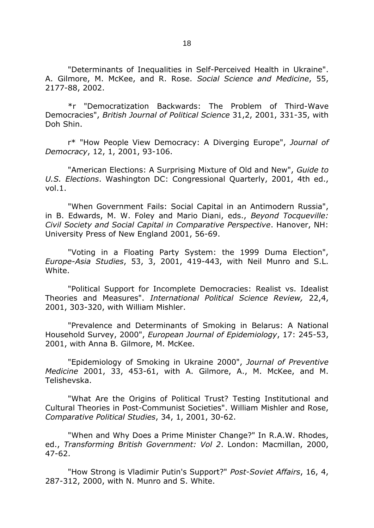"Determinants of Inequalities in Self-Perceived Health in Ukraine". A. Gilmore, M. McKee, and R. Rose. *Social Science and Medicine*, 55, 2177-88, 2002.

\*r "Democratization Backwards: The Problem of Third-Wave Democracies", *British Journal of Political Science* 31,2, 2001, 331-35, with Doh Shin.

r\* "How People View Democracy: A Diverging Europe", *Journal of Democracy*, 12, 1, 2001, 93-106.

"American Elections: A Surprising Mixture of Old and New", *Guide to U.S. Elections*. Washington DC: Congressional Quarterly, 2001, 4th ed., vol.1.

"When Government Fails: Social Capital in an Antimodern Russia", in B. Edwards, M. W. Foley and Mario Diani, eds., *Beyond Tocqueville: Civil Society and Social Capital in Comparative Perspective*. Hanover, NH: University Press of New England 2001, 56-69.

"Voting in a Floating Party System: the 1999 Duma Election", *Europe-Asia Studies*, 53, 3, 2001, 419-443, with Neil Munro and S.L. White.

"Political Support for Incomplete Democracies: Realist vs. Idealist Theories and Measures". *International Political Science Review,* 22,4, 2001, 303-320, with William Mishler.

"Prevalence and Determinants of Smoking in Belarus: A National Household Survey, 2000", *European Journal of Epidemiology*, 17: 245-53, 2001, with Anna B. Gilmore, M. McKee.

"Epidemiology of Smoking in Ukraine 2000", *Journal of Preventive Medicine* 2001, 33, 453-61, with A. Gilmore, A., M. McKee, and M. Telishevska.

"What Are the Origins of Political Trust? Testing Institutional and Cultural Theories in Post-Communist Societies". William Mishler and Rose, *Comparative Political Studies*, 34, 1, 2001, 30-62.

"When and Why Does a Prime Minister Change?" In R.A.W. Rhodes, ed., *Transforming British Government: Vol 2*. London: Macmillan, 2000, 47-62.

"How Strong is Vladimir Putin's Support?" *Post-Soviet Affairs*, 16, 4, 287-312, 2000, with N. Munro and S. White.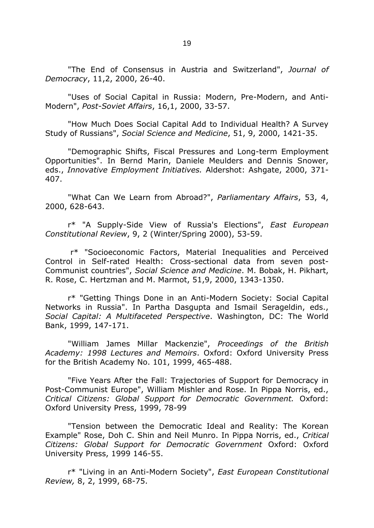"The End of Consensus in Austria and Switzerland", *Journal of Democracy*, 11,2, 2000, 26-40.

"Uses of Social Capital in Russia: Modern, Pre-Modern, and Anti-Modern", *Post-Soviet Affairs*, 16,1, 2000, 33-57.

"How Much Does Social Capital Add to Individual Health? A Survey Study of Russians", *Social Science and Medicine*, 51, 9, 2000, 1421-35.

"Demographic Shifts, Fiscal Pressures and Long-term Employment Opportunities". In Bernd Marin, Daniele Meulders and Dennis Snower, eds., *Innovative Employment Initiatives.* Aldershot: Ashgate, 2000, 371- 407.

"What Can We Learn from Abroad?", *Parliamentary Affairs*, 53, 4, 2000, 628-643.

r\* "A Supply-Side View of Russia's Elections", *East European Constitutional Review*, 9, 2 (Winter/Spring 2000), 53-59.

r\* "Socioeconomic Factors, Material Inequalities and Perceived Control in Self-rated Health: Cross-sectional data from seven post-Communist countries", *Social Science and Medicine*. M. Bobak, H. Pikhart, R. Rose, C. Hertzman and M. Marmot, 51,9, 2000, 1343-1350.

r\* "Getting Things Done in an Anti-Modern Society: Social Capital Networks in Russia". In Partha Dasgupta and Ismail Serageldin, eds., *Social Capital: A Multifaceted Perspective*. Washington, DC: The World Bank, 1999, 147-171.

"William James Millar Mackenzie", *Proceedings of the British Academy: 1998 Lectures and Memoirs*. Oxford: Oxford University Press for the British Academy No. 101, 1999, 465-488.

"Five Years After the Fall: Trajectories of Support for Democracy in Post-Communist Europe", William Mishler and Rose. In Pippa Norris, ed., *Critical Citizens: Global Support for Democratic Government.* Oxford: Oxford University Press, 1999, 78-99

"Tension between the Democratic Ideal and Reality: The Korean Example" Rose, Doh C. Shin and Neil Munro. In Pippa Norris, ed., *Critical Citizens: Global Support for Democratic Government* Oxford: Oxford University Press, 1999 146-55.

r\* "Living in an Anti-Modern Society", *East European Constitutional Review,* 8, 2, 1999, 68-75.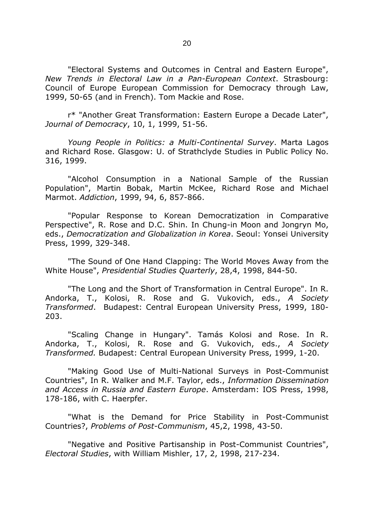"Electoral Systems and Outcomes in Central and Eastern Europe", *New Trends in Electoral Law in a Pan-European Context*. Strasbourg: Council of Europe European Commission for Democracy through Law, 1999, 50-65 (and in French). Tom Mackie and Rose.

r\* "Another Great Transformation: Eastern Europe a Decade Later", *Journal of Democracy*, 10, 1, 1999, 51-56.

*Young People in Politics: a Multi-Continental Survey*. Marta Lagos and Richard Rose. Glasgow: U. of Strathclyde Studies in Public Policy No. 316, 1999.

"Alcohol Consumption in a National Sample of the Russian Population", Martin Bobak, Martin McKee, Richard Rose and Michael Marmot. *Addiction*, 1999, 94, 6, 857-866.

"Popular Response to Korean Democratization in Comparative Perspective", R. Rose and D.C. Shin. In Chung-in Moon and Jongryn Mo, eds., *Democratization and Globalization in Korea*. Seoul: Yonsei University Press, 1999, 329-348.

"The Sound of One Hand Clapping: The World Moves Away from the White House", *Presidential Studies Quarterly*, 28,4, 1998, 844-50.

"The Long and the Short of Transformation in Central Europe". In R. Andorka, T., Kolosi, R. Rose and G. Vukovich, eds., *A Society Transformed*. Budapest: Central European University Press, 1999, 180- 203.

"Scaling Change in Hungary". Tamás Kolosi and Rose. In R. Andorka, T., Kolosi, R. Rose and G. Vukovich, eds., *A Society Transformed.* Budapest: Central European University Press, 1999, 1-20.

"Making Good Use of Multi-National Surveys in Post-Communist Countries", In R. Walker and M.F. Taylor, eds., *Information Dissemination and Access in Russia and Eastern Europe*. Amsterdam: IOS Press, 1998, 178-186, with C. Haerpfer.

"What is the Demand for Price Stability in Post-Communist Countries?, *Problems of Post-Communism*, 45,2, 1998, 43-50.

"Negative and Positive Partisanship in Post-Communist Countries", *Electoral Studies*, with William Mishler, 17, 2, 1998, 217-234.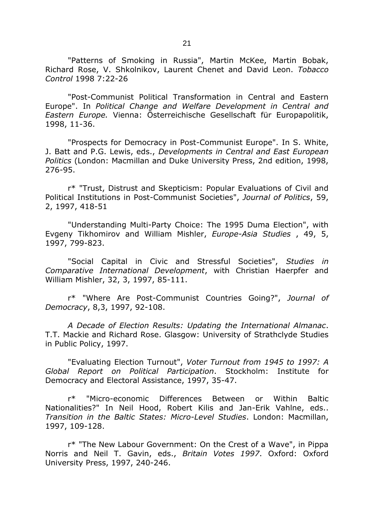"Patterns of Smoking in Russia", Martin McKee, Martin Bobak, Richard Rose, V. Shkolnikov, Laurent Chenet and David Leon. *Tobacco Control* 1998 7:22-26

"Post-Communist Political Transformation in Central and Eastern Europe". In *Political Change and Welfare Development in Central and Eastern Europe.* Vienna: Österreichische Gesellschaft für Europapolitik, 1998, 11-36.

"Prospects for Democracy in Post-Communist Europe". In S. White, J. Batt and P.G. Lewis, eds., *Developments in Central and East European Politics* (London: Macmillan and Duke University Press, 2nd edition, 1998, 276-95.

r\* "Trust, Distrust and Skepticism: Popular Evaluations of Civil and Political Institutions in Post-Communist Societies", *Journal of Politics*, 59, 2, 1997, 418-51

"Understanding Multi-Party Choice: The 1995 Duma Election", with Evgeny Tikhomirov and William Mishler, *Europe-Asia Studies* , 49, 5, 1997, 799-823.

"Social Capital in Civic and Stressful Societies", *Studies in Comparative International Development*, with Christian Haerpfer and William Mishler, 32, 3, 1997, 85-111.

r\* "Where Are Post-Communist Countries Going?", *Journal of Democracy*, 8,3, 1997, 92-108.

*A Decade of Election Results: Updating the International Almanac*. T.T. Mackie and Richard Rose. Glasgow: University of Strathclyde Studies in Public Policy, 1997.

"Evaluating Election Turnout", *Voter Turnout from 1945 to 1997: A Global Report on Political Participation*. Stockholm: Institute for Democracy and Electoral Assistance, 1997, 35-47.

r\* "Micro-economic Differences Between or Within Baltic Nationalities?" In Neil Hood, Robert Kilis and Jan-Erik Vahlne, eds.. *Transition in the Baltic States: Micro-Level Studies*. London: Macmillan, 1997, 109-128.

r\* "The New Labour Government: On the Crest of a Wave", in Pippa Norris and Neil T. Gavin, eds., *Britain Votes 1997*. Oxford: Oxford University Press, 1997, 240-246.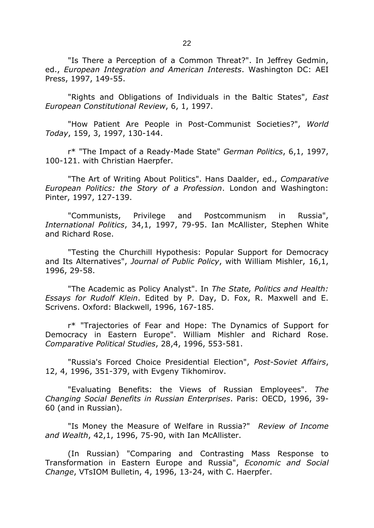"Is There a Perception of a Common Threat?". In Jeffrey Gedmin, ed., *European Integration and American Interests*. Washington DC: AEI Press, 1997, 149-55.

"Rights and Obligations of Individuals in the Baltic States", *East European Constitutional Review*, 6, 1, 1997.

"How Patient Are People in Post-Communist Societies?", *World Today*, 159, 3, 1997, 130-144.

r\* "The Impact of a Ready-Made State" *German Politics*, 6,1, 1997, 100-121. with Christian Haerpfer.

"The Art of Writing About Politics". Hans Daalder, ed., *Comparative European Politics: the Story of a Profession*. London and Washington: Pinter, 1997, 127-139.

"Communists, Privilege and Postcommunism in Russia", *International Politics*, 34,1, 1997, 79-95. Ian McAllister, Stephen White and Richard Rose.

"Testing the Churchill Hypothesis: Popular Support for Democracy and Its Alternatives", *Journal of Public Policy*, with William Mishler, 16,1, 1996, 29-58.

"The Academic as Policy Analyst". In *The State, Politics and Health: Essays for Rudolf Klein*. Edited by P. Day, D. Fox, R. Maxwell and E. Scrivens. Oxford: Blackwell, 1996, 167-185.

r\* "Trajectories of Fear and Hope: The Dynamics of Support for Democracy in Eastern Europe". William Mishler and Richard Rose. *Comparative Political Studies*, 28,4, 1996, 553-581.

"Russia's Forced Choice Presidential Election", *Post-Soviet Affairs*, 12, 4, 1996, 351-379, with Evgeny Tikhomirov.

"Evaluating Benefits: the Views of Russian Employees". *The Changing Social Benefits in Russian Enterprises*. Paris: OECD, 1996, 39- 60 (and in Russian).

"Is Money the Measure of Welfare in Russia?" *Review of Income and Wealth*, 42,1, 1996, 75-90, with Ian McAllister.

(In Russian) "Comparing and Contrasting Mass Response to Transformation in Eastern Europe and Russia", *Economic and Social Change*, VTsIOM Bulletin, 4, 1996, 13-24, with C. Haerpfer.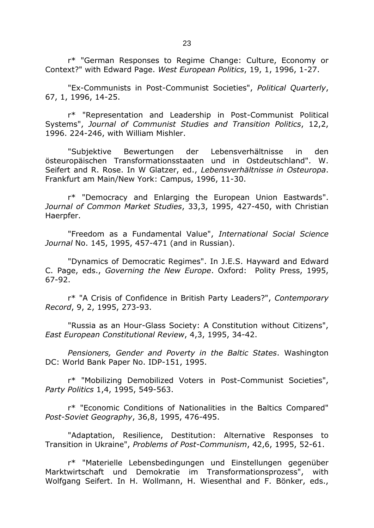r\* "German Responses to Regime Change: Culture, Economy or Context?" with Edward Page. *West European Politics*, 19, 1, 1996, 1-27.

"Ex-Communists in Post-Communist Societies", *Political Quarterly*, 67, 1, 1996, 14-25.

r\* "Representation and Leadership in Post-Communist Political Systems", *Journal of Communist Studies and Transition Politics*, 12,2, 1996. 224-246, with William Mishler.

"Subjektive Bewertungen der Lebensverhältnisse in den östeuropäischen Transformationsstaaten und in Ostdeutschland". W. Seifert and R. Rose. In W Glatzer, ed., *Lebensverhältnisse in Osteuropa*. Frankfurt am Main/New York: Campus, 1996, 11-30.

r\* "Democracy and Enlarging the European Union Eastwards". *Journal of Common Market Studies*, 33,3, 1995, 427-450, with Christian Haerpfer.

"Freedom as a Fundamental Value", *International Social Science Journal* No. 145, 1995, 457-471 (and in Russian).

"Dynamics of Democratic Regimes". In J.E.S. Hayward and Edward C. Page, eds., *Governing the New Europe*. Oxford: Polity Press, 1995, 67-92.

r\* "A Crisis of Confidence in British Party Leaders?", *Contemporary Record*, 9, 2, 1995, 273-93.

"Russia as an Hour-Glass Society: A Constitution without Citizens", *East European Constitutional Review*, 4,3, 1995, 34-42.

*Pensioners, Gender and Poverty in the Baltic States*. Washington DC: World Bank Paper No. IDP-151, 1995.

r\* "Mobilizing Demobilized Voters in Post-Communist Societies", *Party Politics* 1,4, 1995, 549-563.

r\* "Economic Conditions of Nationalities in the Baltics Compared" *Post-Soviet Geography*, 36,8, 1995, 476-495.

"Adaptation, Resilience, Destitution: Alternative Responses to Transition in Ukraine", *Problems of Post-Communism*, 42,6, 1995, 52-61.

r\* "Materielle Lebensbedingungen und Einstellungen gegenüber Marktwirtschaft und Demokratie im Transformationsprozess", with Wolfgang Seifert. In H. Wollmann, H. Wiesenthal and F. Bönker, eds.,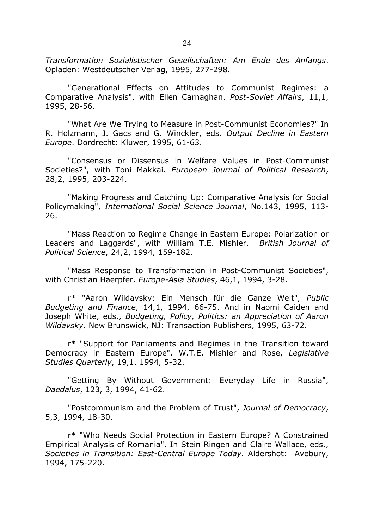*Transformation Sozialistischer Gesellschaften: Am Ende des Anfangs*. Opladen: Westdeutscher Verlag, 1995, 277-298.

"Generational Effects on Attitudes to Communist Regimes: a Comparative Analysis", with Ellen Carnaghan. *Post-Soviet Affairs*, 11,1, 1995, 28-56.

"What Are We Trying to Measure in Post-Communist Economies?" In R. Holzmann, J. Gacs and G. Winckler, eds. *Output Decline in Eastern Europe*. Dordrecht: Kluwer, 1995, 61-63.

"Consensus or Dissensus in Welfare Values in Post-Communist Societies?", with Toni Makkai. *European Journal of Political Research*, 28,2, 1995, 203-224.

"Making Progress and Catching Up: Comparative Analysis for Social Policymaking", *International Social Science Journal*, No.143, 1995, 113- 26.

"Mass Reaction to Regime Change in Eastern Europe: Polarization or Leaders and Laggards", with William T.E. Mishler. *British Journal of Political Science*, 24,2, 1994, 159-182.

"Mass Response to Transformation in Post-Communist Societies", with Christian Haerpfer. *Europe-Asia Studies*, 46,1, 1994, 3-28.

r\* "Aaron Wildavsky: Ein Mensch für die Ganze Welt", *Public Budgeting and Finance*, 14,1, 1994, 66-75. And in Naomi Caiden and Joseph White, eds., *Budgeting, Policy, Politics: an Appreciation of Aaron Wildavsky*. New Brunswick, NJ: Transaction Publishers, 1995, 63-72.

r\* "Support for Parliaments and Regimes in the Transition toward Democracy in Eastern Europe". W.T.E. Mishler and Rose, *Legislative Studies Quarterly*, 19,1, 1994, 5-32.

"Getting By Without Government: Everyday Life in Russia", *Daedalus*, 123, 3, 1994, 41-62.

"Postcommunism and the Problem of Trust", *Journal of Democracy*, 5,3, 1994, 18-30.

r\* "Who Needs Social Protection in Eastern Europe? A Constrained Empirical Analysis of Romania". In Stein Ringen and Claire Wallace, eds., *Societies in Transition: East-Central Europe Today.* Aldershot: Avebury, 1994, 175-220.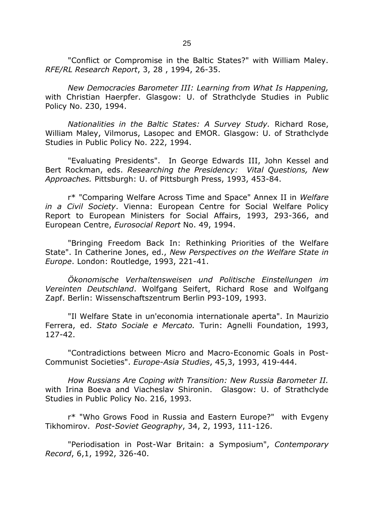"Conflict or Compromise in the Baltic States?" with William Maley. *RFE/RL Research Report*, 3, 28 , 1994, 26-35.

*New Democracies Barometer III: Learning from What Is Happening,* with Christian Haerpfer. Glasgow: U. of Strathclyde Studies in Public Policy No. 230, 1994.

*Nationalities in the Baltic States: A Survey Study.* Richard Rose, William Maley, Vilmorus, Lasopec and EMOR. Glasgow: U. of Strathclyde Studies in Public Policy No. 222, 1994.

"Evaluating Presidents". In George Edwards III, John Kessel and Bert Rockman, eds. *Researching the Presidency: Vital Questions, New Approaches.* Pittsburgh: U. of Pittsburgh Press, 1993, 453-84.

r\* "Comparing Welfare Across Time and Space" Annex II in *Welfare in a Civil Society*. Vienna: European Centre for Social Welfare Policy Report to European Ministers for Social Affairs, 1993, 293-366, and European Centre, *Eurosocial Report* No. 49, 1994.

"Bringing Freedom Back In: Rethinking Priorities of the Welfare State". In Catherine Jones, ed., *New Perspectives on the Welfare State in Europe*. London: Routledge, 1993, 221-41.

*Ökonomische Verhaltensweisen und Politische Einstellungen im Vereinten Deutschland*. Wolfgang Seifert, Richard Rose and Wolfgang Zapf. Berlin: Wissenschaftszentrum Berlin P93-109, 1993.

"Il Welfare State in un'economia internationale aperta". In Maurizio Ferrera, ed. *Stato Sociale e Mercato.* Turin: Agnelli Foundation, 1993, 127-42.

"Contradictions between Micro and Macro-Economic Goals in Post-Communist Societies". *Europe-Asia Studies*, 45,3, 1993, 419-444.

*How Russians Are Coping with Transition: New Russia Barometer II.*  with Irina Boeva and Viacheslav Shironin. Glasgow: U. of Strathclyde Studies in Public Policy No. 216, 1993.

r\* "Who Grows Food in Russia and Eastern Europe?" with Evgeny Tikhomirov. *Post-Soviet Geography*, 34, 2, 1993, 111-126.

"Periodisation in Post-War Britain: a Symposium", *Contemporary Record*, 6,1, 1992, 326-40.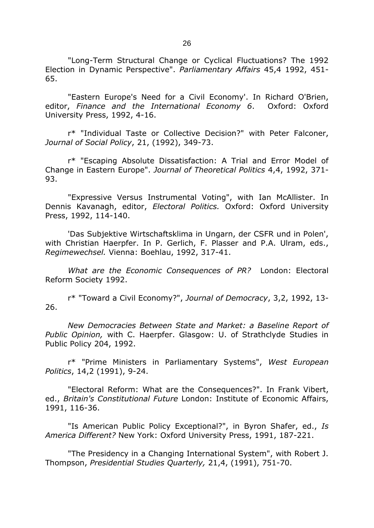"Long-Term Structural Change or Cyclical Fluctuations? The 1992 Election in Dynamic Perspective". *Parliamentary Affairs* 45,4 1992, 451- 65.

"Eastern Europe's Need for a Civil Economy'. In Richard O'Brien, editor, *Finance and the International Economy 6*. Oxford: Oxford University Press, 1992, 4-16.

r\* "Individual Taste or Collective Decision?" with Peter Falconer, *Journal of Social Policy*, 21, (1992), 349-73.

r\* "Escaping Absolute Dissatisfaction: A Trial and Error Model of Change in Eastern Europe". *Journal of Theoretical Politics* 4,4, 1992, 371- 93.

"Expressive Versus Instrumental Voting", with Ian McAllister. In Dennis Kavanagh, editor, *Electoral Politics.* Oxford: Oxford University Press, 1992, 114-140.

'Das Subjektive Wirtschaftsklima in Ungarn, der CSFR und in Polen', with Christian Haerpfer. In P. Gerlich, F. Plasser and P.A. Ulram, eds., *Regimewechsel.* Vienna: Boehlau, 1992, 317-41.

*What are the Economic Consequences of PR?* London: Electoral Reform Society 1992.

r\* "Toward a Civil Economy?", *Journal of Democracy*, 3,2, 1992, 13- 26.

*New Democracies Between State and Market: a Baseline Report of Public Opinion,* with C. Haerpfer. Glasgow: U. of Strathclyde Studies in Public Policy 204, 1992.

r\* "Prime Ministers in Parliamentary Systems", *West European Politics*, 14,2 (1991), 9-24.

"Electoral Reform: What are the Consequences?". In Frank Vibert, ed., *Britain's Constitutional Future* London: Institute of Economic Affairs, 1991, 116-36.

"Is American Public Policy Exceptional?", in Byron Shafer, ed., *Is America Different?* New York: Oxford University Press, 1991, 187-221.

"The Presidency in a Changing International System", with Robert J. Thompson, *Presidential Studies Quarterly,* 21,4, (1991), 751-70.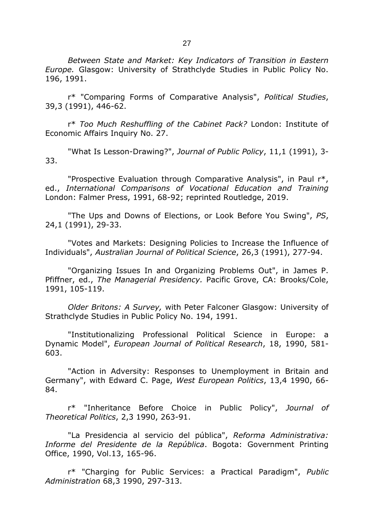27

*Between State and Market: Key Indicators of Transition in Eastern Europe.* Glasgow: University of Strathclyde Studies in Public Policy No. 196, 1991.

r\* "Comparing Forms of Comparative Analysis", *Political Studies*, 39,3 (1991), 446-62.

r\* *Too Much Reshuffling of the Cabinet Pack?* London: Institute of Economic Affairs Inquiry No. 27.

"What Is Lesson-Drawing?", *Journal of Public Policy*, 11,1 (1991), 3- 33.

"Prospective Evaluation through Comparative Analysis", in Paul r\*, ed., *International Comparisons of Vocational Education and Training* London: Falmer Press, 1991, 68-92; reprinted Routledge, 2019.

"The Ups and Downs of Elections, or Look Before You Swing", *PS*, 24,1 (1991), 29-33.

"Votes and Markets: Designing Policies to Increase the Influence of Individuals", *Australian Journal of Political Science*, 26,3 (1991), 277-94.

"Organizing Issues In and Organizing Problems Out", in James P. Pfiffner, ed., *The Managerial Presidency.* Pacific Grove, CA: Brooks/Cole, 1991, 105-119.

*Older Britons: A Survey,* with Peter Falconer Glasgow: University of Strathclyde Studies in Public Policy No. 194, 1991.

"Institutionalizing Professional Political Science in Europe: a Dynamic Model", *European Journal of Political Research*, 18, 1990, 581- 603.

"Action in Adversity: Responses to Unemployment in Britain and Germany", with Edward C. Page, *West European Politics*, 13,4 1990, 66- 84.

r\* "Inheritance Before Choice in Public Policy", *Journal of Theoretical Politics*, 2,3 1990, 263-91.

"La Presidencia al servicio del pública", *Reforma Administrativa: Informe del Presidente de la República*. Bogota: Government Printing Office, 1990, Vol.13, 165-96.

r\* "Charging for Public Services: a Practical Paradigm", *Public Administration* 68,3 1990, 297-313.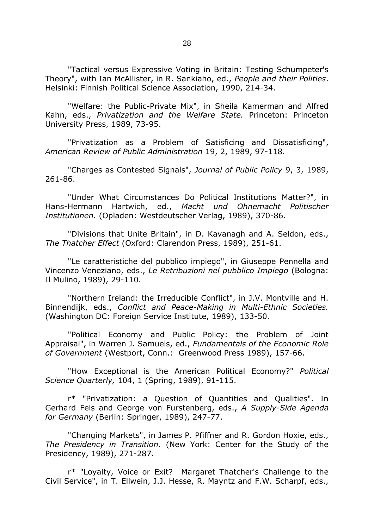"Tactical versus Expressive Voting in Britain: Testing Schumpeter's Theory", with Ian McAllister, in R. Sankiaho, ed., *People and their Polities*. Helsinki: Finnish Political Science Association, 1990, 214-34.

"Welfare: the Public-Private Mix", in Sheila Kamerman and Alfred Kahn, eds., *Privatization and the Welfare State.* Princeton: Princeton University Press, 1989, 73-95.

"Privatization as a Problem of Satisficing and Dissatisficing", *American Review of Public Administration* 19, 2, 1989, 97-118.

"Charges as Contested Signals", *Journal of Public Policy* 9, 3, 1989, 261-86.

"Under What Circumstances Do Political Institutions Matter?", in Hans-Hermann Hartwich, ed., *Macht und Ohnemacht Politischer Institutionen.* (Opladen: Westdeutscher Verlag, 1989), 370-86.

"Divisions that Unite Britain", in D. Kavanagh and A. Seldon, eds., *The Thatcher Effect* (Oxford: Clarendon Press, 1989), 251-61.

"Le caratteristiche del pubblico impiego", in Giuseppe Pennella and Vincenzo Veneziano, eds., *Le Retribuzioni nel pubblico Impiego* (Bologna: Il Mulino, 1989), 29-110.

"Northern Ireland: the Irreducible Conflict", in J.V. Montville and H. Binnendijk, eds., *Conflict and Peace-Making in Multi-Ethnic Societies.*  (Washington DC: Foreign Service Institute, 1989), 133-50.

"Political Economy and Public Policy: the Problem of Joint Appraisal", in Warren J. Samuels, ed., *Fundamentals of the Economic Role of Government* (Westport, Conn.: Greenwood Press 1989), 157-66.

"How Exceptional is the American Political Economy?" *Political Science Quarterly,* 104, 1 (Spring, 1989), 91-115.

r\* "Privatization: a Question of Quantities and Qualities". In Gerhard Fels and George von Furstenberg, eds., *A Supply-Side Agenda for Germany* (Berlin: Springer, 1989), 247-77.

"Changing Markets", in James P. Pfiffner and R. Gordon Hoxie, eds., *The Presidency in Transition.* (New York: Center for the Study of the Presidency, 1989), 271-287.

r\* "Loyalty, Voice or Exit? Margaret Thatcher's Challenge to the Civil Service", in T. Ellwein, J.J. Hesse, R. Mayntz and F.W. Scharpf, eds.,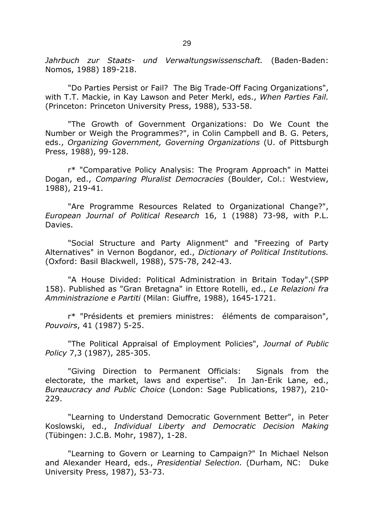*Jahrbuch zur Staats- und Verwaltungswissenschaft.* (Baden-Baden: Nomos, 1988) 189-218.

"Do Parties Persist or Fail? The Big Trade-Off Facing Organizations", with T.T. Mackie, in Kay Lawson and Peter Merkl, eds., *When Parties Fail.* (Princeton: Princeton University Press, 1988), 533-58.

"The Growth of Government Organizations: Do We Count the Number or Weigh the Programmes?", in Colin Campbell and B. G. Peters, eds., *Organizing Government, Governing Organizations* (U. of Pittsburgh Press, 1988), 99-128.

r\* "Comparative Policy Analysis: The Program Approach" in Mattei Dogan, ed., *Comparing Pluralist Democracies* (Boulder, Col.: Westview, 1988), 219-41.

"Are Programme Resources Related to Organizational Change?", *European Journal of Political Research* 16, 1 (1988) 73-98, with P.L. Davies.

"Social Structure and Party Alignment" and "Freezing of Party Alternatives" in Vernon Bogdanor, ed., *Dictionary of Political Institutions.* (Oxford: Basil Blackwell, 1988), 575-78, 242-43.

"A House Divided: Political Administration in Britain Today".(SPP 158). Published as "Gran Bretagna" in Ettore Rotelli, ed., *Le Relazioni fra Amministrazione e Partiti* (Milan: Giuffre, 1988), 1645-1721.

r\* "Présidents et premiers ministres: éléments de comparaison", *Pouvoirs*, 41 (1987) 5-25.

"The Political Appraisal of Employment Policies", *Journal of Public Policy* 7,3 (1987), 285-305.

"Giving Direction to Permanent Officials: Signals from the electorate, the market, laws and expertise". In Jan-Erik Lane, ed., *Bureaucracy and Public Choice* (London: Sage Publications, 1987), 210- 229.

"Learning to Understand Democratic Government Better", in Peter Koslowski, ed., *Individual Liberty and Democratic Decision Making* (Tübingen: J.C.B. Mohr, 1987), 1-28.

"Learning to Govern or Learning to Campaign?" In Michael Nelson and Alexander Heard, eds., *Presidential Selection.* (Durham, NC: Duke University Press, 1987), 53-73.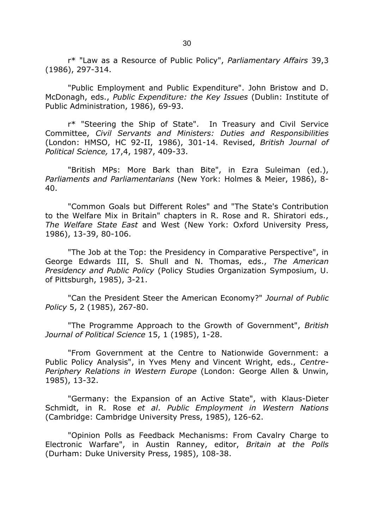r\* "Law as a Resource of Public Policy", *Parliamentary Affairs* 39,3 (1986), 297-314.

"Public Employment and Public Expenditure". John Bristow and D. McDonagh, eds., *Public Expenditure: the Key Issues* (Dublin: Institute of Public Administration, 1986), 69-93.

r\* "Steering the Ship of State". In Treasury and Civil Service Committee, *Civil Servants and Ministers: Duties and Responsibilities* (London: HMSO, HC 92-II, 1986), 301-14. Revised, *British Journal of Political Science,* 17,4, 1987, 409-33.

"British MPs: More Bark than Bite", in Ezra Suleiman (ed.), *Parliaments and Parliamentarians* (New York: Holmes & Meier, 1986), 8- 40.

"Common Goals but Different Roles" and "The State's Contribution to the Welfare Mix in Britain" chapters in R. Rose and R. Shiratori eds., *The Welfare State East* and West (New York: Oxford University Press, 1986), 13-39, 80-106.

"The Job at the Top: the Presidency in Comparative Perspective", in George Edwards III, S. Shull and N. Thomas, eds., *The American Presidency and Public Policy* (Policy Studies Organization Symposium, U. of Pittsburgh, 1985), 3-21.

"Can the President Steer the American Economy?" *Journal of Public Policy* 5, 2 (1985), 267-80.

"The Programme Approach to the Growth of Government", *British Journal of Political Science* 15, 1 (1985), 1-28.

"From Government at the Centre to Nationwide Government: a Public Policy Analysis", in Yves Meny and Vincent Wright, eds., *Centre-Periphery Relations in Western Europe* (London: George Allen & Unwin, 1985), 13-32.

"Germany: the Expansion of an Active State", with Klaus-Dieter Schmidt, in R. Rose *et al*. *Public Employment in Western Nations* (Cambridge: Cambridge University Press, 1985), 126-62.

"Opinion Polls as Feedback Mechanisms: From Cavalry Charge to Electronic Warfare", in Austin Ranney, editor, *Britain at the Polls*  (Durham: Duke University Press, 1985), 108-38.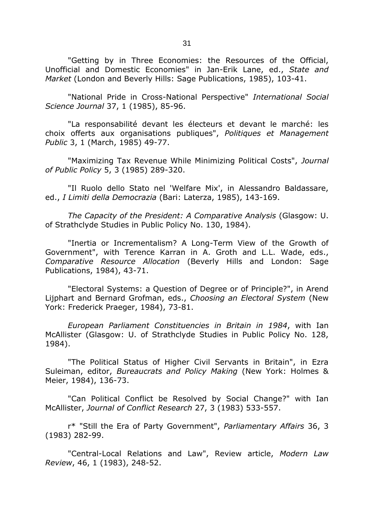"Getting by in Three Economies: the Resources of the Official, Unofficial and Domestic Economies" in Jan-Erik Lane, ed., *State and Market* (London and Beverly Hills: Sage Publications, 1985), 103-41.

"National Pride in Cross-National Perspective" *International Social Science Journal* 37, 1 (1985), 85-96.

"La responsabilité devant les électeurs et devant le marché: les choix offerts aux organisations publiques", *Politiques et Management Public* 3, 1 (March, 1985) 49-77.

"Maximizing Tax Revenue While Minimizing Political Costs", *Journal of Public Policy* 5, 3 (1985) 289-320.

"Il Ruolo dello Stato nel 'Welfare Mix', in Alessandro Baldassare, ed., *I Limiti della Democrazia* (Bari: Laterza, 1985), 143-169.

*The Capacity of the President: A Comparative Analysis* (Glasgow: U. of Strathclyde Studies in Public Policy No. 130, 1984).

"Inertia or Incrementalism? A Long-Term View of the Growth of Government", with Terence Karran in A. Groth and L.L. Wade, eds., *Comparative Resource Allocation* (Beverly Hills and London: Sage Publications, 1984), 43-71.

"Electoral Systems: a Question of Degree or of Principle?", in Arend Lijphart and Bernard Grofman, eds., *Choosing an Electoral System* (New York: Frederick Praeger, 1984), 73-81.

*European Parliament Constituencies in Britain in 1984*, with Ian McAllister (Glasgow: U. of Strathclyde Studies in Public Policy No. 128, 1984).

"The Political Status of Higher Civil Servants in Britain", in Ezra Suleiman, editor, *Bureaucrats and Policy Making* (New York: Holmes & Meier, 1984), 136-73.

"Can Political Conflict be Resolved by Social Change?" with Ian McAllister, *Journal of Conflict Research* 27, 3 (1983) 533-557.

r\* "Still the Era of Party Government", *Parliamentary Affairs* 36, 3 (1983) 282-99.

"Central-Local Relations and Law", Review article, *Modern Law Review*, 46, 1 (1983), 248-52.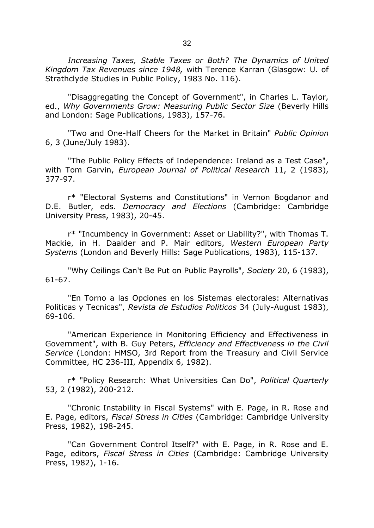*Increasing Taxes, Stable Taxes or Both? The Dynamics of United Kingdom Tax Revenues since 1948,* with Terence Karran (Glasgow: U. of Strathclyde Studies in Public Policy, 1983 No. 116).

"Disaggregating the Concept of Government", in Charles L. Taylor, ed., *Why Governments Grow: Measuring Public Sector Size* (Beverly Hills and London: Sage Publications, 1983), 157-76.

"Two and One-Half Cheers for the Market in Britain" *Public Opinion* 6, 3 (June/July 1983).

"The Public Policy Effects of Independence: Ireland as a Test Case", with Tom Garvin, *European Journal of Political Research* 11, 2 (1983), 377-97.

r\* "Electoral Systems and Constitutions" in Vernon Bogdanor and D.E. Butler, eds. *Democracy and Elections* (Cambridge: Cambridge University Press, 1983), 20-45.

r\* "Incumbency in Government: Asset or Liability?", with Thomas T. Mackie, in H. Daalder and P. Mair editors, *Western European Party Systems* (London and Beverly Hills: Sage Publications, 1983), 115-137.

"Why Ceilings Can't Be Put on Public Payrolls", *Society* 20, 6 (1983), 61-67.

"En Torno a las Opciones en los Sistemas electorales: Alternativas Politicas y Tecnicas", *Revista de Estudios Politicos* 34 (July-August 1983), 69-106.

"American Experience in Monitoring Efficiency and Effectiveness in Government", with B. Guy Peters, *Efficiency and Effectiveness in the Civil Service* (London: HMSO, 3rd Report from the Treasury and Civil Service Committee, HC 236-III, Appendix 6, 1982).

r\* "Policy Research: What Universities Can Do", *Political Quarterly* 53, 2 (1982), 200-212.

"Chronic Instability in Fiscal Systems" with E. Page, in R. Rose and E. Page, editors, *Fiscal Stress in Cities* (Cambridge: Cambridge University Press, 1982), 198-245.

"Can Government Control Itself?" with E. Page, in R. Rose and E. Page, editors, *Fiscal Stress in Cities* (Cambridge: Cambridge University Press, 1982), 1-16.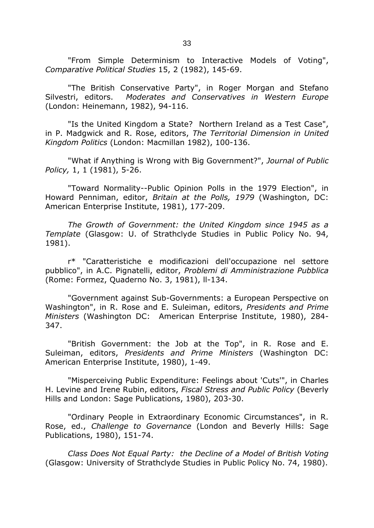"From Simple Determinism to Interactive Models of Voting", *Comparative Political Studies* 15, 2 (1982), 145-69.

"The British Conservative Party", in Roger Morgan and Stefano Silvestri, editors. *Moderates and Conservatives in Western Europe*  (London: Heinemann, 1982), 94-116.

"Is the United Kingdom a State? Northern Ireland as a Test Case", in P. Madgwick and R. Rose, editors, *The Territorial Dimension in United Kingdom Politics* (London: Macmillan 1982), 100-136.

"What if Anything is Wrong with Big Government?", *Journal of Public Policy,* 1, 1 (1981), 5-26.

"Toward Normality--Public Opinion Polls in the 1979 Election", in Howard Penniman, editor, *Britain at the Polls, 1979* (Washington, DC: American Enterprise Institute, 1981), 177-209.

*The Growth of Government: the United Kingdom since 1945 as a Template* (Glasgow: U. of Strathclyde Studies in Public Policy No. 94, 1981).

r\* "Caratteristiche e modificazioni dell'occupazione nel settore pubblico", in A.C. Pignatelli, editor, *Problemi di Amministrazione Pubblica*  (Rome: Formez, Quaderno No. 3, 1981), ll-134.

"Government against Sub-Governments: a European Perspective on Washington", in R. Rose and E. Suleiman, editors, *Presidents and Prime Ministers* (Washington DC: American Enterprise Institute, 1980), 284- 347.

"British Government: the Job at the Top", in R. Rose and E. Suleiman, editors, *Presidents and Prime Ministers* (Washington DC: American Enterprise Institute, 1980), 1-49.

"Misperceiving Public Expenditure: Feelings about 'Cuts'", in Charles H. Levine and Irene Rubin, editors, *Fiscal Stress and Public Policy* (Beverly Hills and London: Sage Publications, 1980), 203-30.

"Ordinary People in Extraordinary Economic Circumstances", in R. Rose, ed., *Challenge to Governance* (London and Beverly Hills: Sage Publications, 1980), 151-74.

*Class Does Not Equal Party: the Decline of a Model of British Voting*  (Glasgow: University of Strathclyde Studies in Public Policy No. 74, 1980).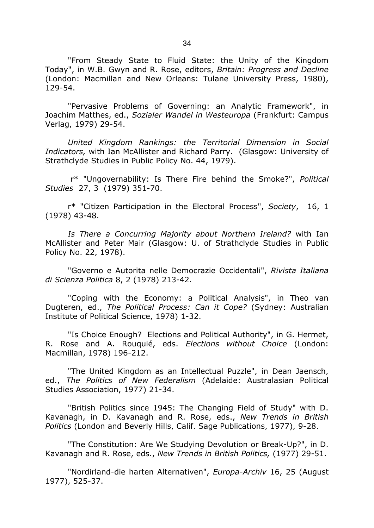"From Steady State to Fluid State: the Unity of the Kingdom Today", in W.B. Gwyn and R. Rose, editors, *Britain: Progress and Decline* (London: Macmillan and New Orleans: Tulane University Press, 1980), 129-54.

"Pervasive Problems of Governing: an Analytic Framework", in Joachim Matthes, ed., *Sozialer Wandel in Westeuropa* (Frankfurt: Campus Verlag, 1979) 29-54.

*United Kingdom Rankings: the Territorial Dimension in Social Indicators,* with Ian McAllister and Richard Parry. (Glasgow: University of Strathclyde Studies in Public Policy No. 44, 1979).

r\* "Ungovernability: Is There Fire behind the Smoke?", *Political Studies* 27, 3 (1979) 351-70.

r\* "Citizen Participation in the Electoral Process", *Society*, 16, 1 (1978) 43-48.

*Is There a Concurring Majority about Northern Ireland?* with Ian McAllister and Peter Mair (Glasgow: U. of Strathclyde Studies in Public Policy No. 22, 1978).

"Governo e Autorita nelle Democrazie Occidentali", *Rivista Italiana di Scienza Politica* 8, 2 (1978) 213-42.

"Coping with the Economy: a Political Analysis", in Theo van Dugteren, ed., *The Political Process: Can it Cope?* (Sydney: Australian Institute of Political Science, 1978) 1-32.

"Is Choice Enough? Elections and Political Authority", in G. Hermet, R. Rose and A. Rouquié, eds. *Elections without Choice* (London: Macmillan, 1978) 196-212.

"The United Kingdom as an Intellectual Puzzle", in Dean Jaensch, ed., *The Politics of New Federalism* (Adelaide: Australasian Political Studies Association, 1977) 21-34.

"British Politics since 1945: The Changing Field of Study" with D. Kavanagh, in D. Kavanagh and R. Rose, eds., *New Trends in British Politics* (London and Beverly Hills, Calif. Sage Publications, 1977), 9-28.

"The Constitution: Are We Studying Devolution or Break-Up?", in D. Kavanagh and R. Rose, eds., *New Trends in British Politics,* (1977) 29-51.

"Nordirland-die harten Alternativen", *Europa-Archiv* 16, 25 (August 1977), 525-37.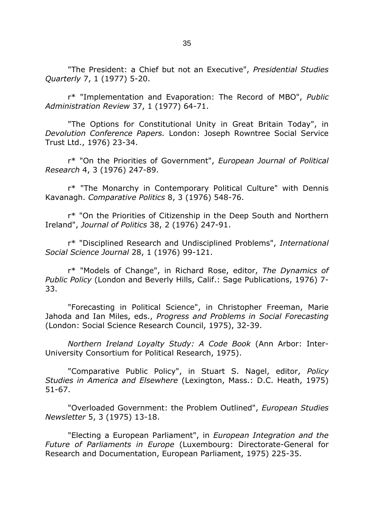"The President: a Chief but not an Executive", *Presidential Studies Quarterly* 7, 1 (1977) 5-20.

r\* "Implementation and Evaporation: The Record of MBO", *Public Administration Review* 37, 1 (1977) 64-71.

"The Options for Constitutional Unity in Great Britain Today", in *Devolution Conference Papers.* London: Joseph Rowntree Social Service Trust Ltd., 1976) 23-34.

r\* "On the Priorities of Government", *European Journal of Political Research* 4, 3 (1976) 247-89.

r\* "The Monarchy in Contemporary Political Culture" with Dennis Kavanagh. *Comparative Politics* 8, 3 (1976) 548-76.

r\* "On the Priorities of Citizenship in the Deep South and Northern Ireland", *Journal of Politics* 38, 2 (1976) 247-91.

r\* "Disciplined Research and Undisciplined Problems", *International Social Science Journal* 28, 1 (1976) 99-121.

r\* "Models of Change", in Richard Rose, editor, *The Dynamics of Public Policy* (London and Beverly Hills, Calif.: Sage Publications, 1976) 7- 33.

"Forecasting in Political Science", in Christopher Freeman, Marie Jahoda and Ian Miles, eds., *Progress and Problems in Social Forecasting* (London: Social Science Research Council, 1975), 32-39.

*Northern Ireland Loyalty Study: A Code Book* (Ann Arbor: Inter-University Consortium for Political Research, 1975).

"Comparative Public Policy", in Stuart S. Nagel, editor, *Policy Studies in America and Elsewhere* (Lexington, Mass.: D.C. Heath, 1975) 51-67.

"Overloaded Government: the Problem Outlined", *European Studies Newsletter* 5, 3 (1975) 13-18.

"Electing a European Parliament", in *European Integration and the Future of Parliaments in Europe* (Luxembourg: Directorate-General for Research and Documentation, European Parliament, 1975) 225-35.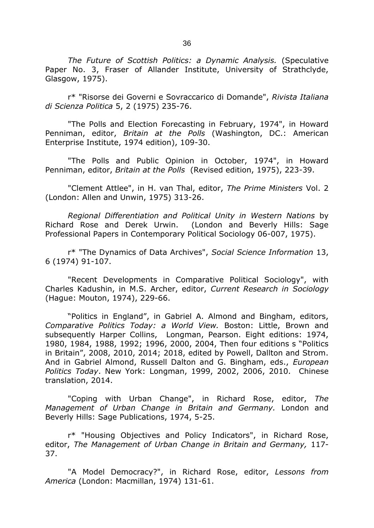*The Future of Scottish Politics: a Dynamic Analysis.* (Speculative Paper No. 3, Fraser of Allander Institute, University of Strathclyde, Glasgow, 1975).

r\* "Risorse dei Governi e Sovraccarico di Domande", *Rivista Italiana di Scienza Politica* 5, 2 (1975) 235-76.

"The Polls and Election Forecasting in February, 1974", in Howard Penniman, editor, *Britain at the Polls* (Washington, DC.: American Enterprise Institute, 1974 edition), 109-30.

"The Polls and Public Opinion in October, 1974", in Howard Penniman, editor, *Britain at the Polls* (Revised edition, 1975), 223-39.

"Clement Attlee", in H. van Thal, editor, *The Prime Ministers* Vol. 2 (London: Allen and Unwin, 1975) 313-26.

*Regional Differentiation and Political Unity in Western Nations* by Richard Rose and Derek Urwin. (London and Beverly Hills: Sage Professional Papers in Contemporary Political Sociology 06-007, 1975).

r\* "The Dynamics of Data Archives", *Social Science Information* 13, 6 (1974) 91-107.

"Recent Developments in Comparative Political Sociology", with Charles Kadushin, in M.S. Archer, editor, *Current Research in Sociology* (Hague: Mouton, 1974), 229-66.

"Politics in England", in Gabriel A. Almond and Bingham, editors, *Comparative Politics Today: a World View.* Boston: Little, Brown and subsequently Harper Collins, Longman, Pearson. Eight editions: 1974, 1980, 1984, 1988, 1992; 1996, 2000, 2004, Then four editions s "Politics in Britain", 2008, 2010, 2014; 2018, edited by Powell, Dallton and Strom. And in Gabriel Almond, Russell Dalton and G. Bingham, eds., *European Politics Today*. New York: Longman, 1999, 2002, 2006, 2010. Chinese translation, 2014.

"Coping with Urban Change", in Richard Rose, editor, *The Management of Urban Change in Britain and Germany.* London and Beverly Hills: Sage Publications, 1974, 5-25.

r\* "Housing Objectives and Policy Indicators", in Richard Rose, editor, *The Management of Urban Change in Britain and Germany,* 117- 37.

"A Model Democracy?", in Richard Rose, editor, *Lessons from America* (London: Macmillan, 1974) 131-61.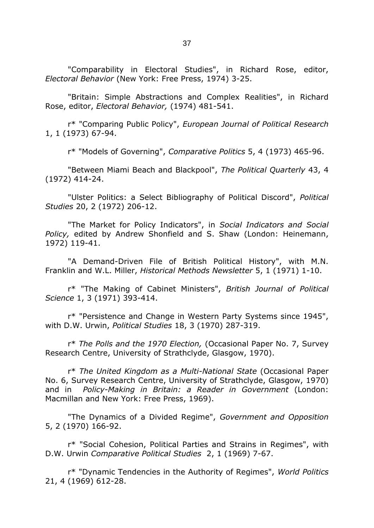"Comparability in Electoral Studies", in Richard Rose, editor, *Electoral Behavior* (New York: Free Press, 1974) 3-25.

"Britain: Simple Abstractions and Complex Realities", in Richard Rose, editor, *Electoral Behavior,* (1974) 481-541.

r\* "Comparing Public Policy", *European Journal of Political Research* 1, 1 (1973) 67-94.

r\* "Models of Governing", *Comparative Politics* 5, 4 (1973) 465-96.

"Between Miami Beach and Blackpool", *The Political Quarterly* 43, 4 (1972) 414-24.

"Ulster Politics: a Select Bibliography of Political Discord", *Political Studies* 20, 2 (1972) 206-12.

"The Market for Policy Indicators", in *Social Indicators and Social Policy,* edited by Andrew Shonfield and S. Shaw (London: Heinemann, 1972) 119-41.

"A Demand-Driven File of British Political History", with M.N. Franklin and W.L. Miller, *Historical Methods Newsletter* 5, 1 (1971) 1-10.

r\* "The Making of Cabinet Ministers", *British Journal of Political Science* 1, 3 (1971) 393-414.

r\* "Persistence and Change in Western Party Systems since 1945", with D.W. Urwin, *Political Studies* 18, 3 (1970) 287-319.

r\* *The Polls and the 1970 Election,* (Occasional Paper No. 7, Survey Research Centre, University of Strathclyde, Glasgow, 1970).

r\* *The United Kingdom as a Multi-National State* (Occasional Paper No. 6, Survey Research Centre, University of Strathclyde, Glasgow, 1970) and in *Policy-Making in Britain: a Reader in Government* (London: Macmillan and New York: Free Press, 1969).

"The Dynamics of a Divided Regime", *Government and Opposition*  5, 2 (1970) 166-92.

r\* "Social Cohesion, Political Parties and Strains in Regimes", with D.W. Urwin *Comparative Political Studies* 2, 1 (1969) 7-67.

r\* "Dynamic Tendencies in the Authority of Regimes", *World Politics* 21, 4 (1969) 612-28.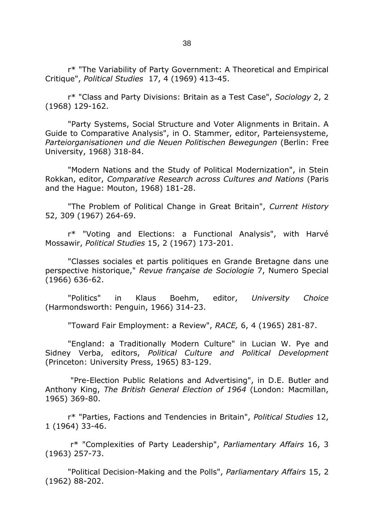r\* "The Variability of Party Government: A Theoretical and Empirical Critique", *Political Studies* 17, 4 (1969) 413-45.

r\* "Class and Party Divisions: Britain as a Test Case", *Sociology* 2, 2 (1968) 129-162.

"Party Systems, Social Structure and Voter Alignments in Britain. A Guide to Comparative Analysis", in O. Stammer, editor, Parteiensysteme, *Parteiorganisationen und die Neuen Politischen Bewegungen* (Berlin: Free University, 1968) 318-84.

"Modern Nations and the Study of Political Modernization", in Stein Rokkan, editor, *Comparative Research across Cultures and Nations* (Paris and the Hague: Mouton, 1968) 181-28.

"The Problem of Political Change in Great Britain", *Current History*  52, 309 (1967) 264-69.

r\* "Voting and Elections: a Functional Analysis", with Harvé Mossawir, *Political Studies* 15, 2 (1967) 173-201.

"Classes sociales et partis politiques en Grande Bretagne dans une perspective historique," *Revue française de Sociologie* 7, Numero Special (1966) 636-62.

"Politics" in Klaus Boehm, editor, *University Choice* (Harmondsworth: Penguin, 1966) 314-23.

"Toward Fair Employment: a Review", *RACE,* 6, 4 (1965) 281-87.

"England: a Traditionally Modern Culture" in Lucian W. Pye and Sidney Verba, editors, *Political Culture and Political Development*  (Princeton: University Press, 1965) 83-129.

"Pre-Election Public Relations and Advertising", in D.E. Butler and Anthony King, *The British General Election of 1964* (London: Macmillan, 1965) 369-80.

r\* "Parties, Factions and Tendencies in Britain", *Political Studies* 12, 1 (1964) 33-46.

r\* "Complexities of Party Leadership", *Parliamentary Affairs* 16, 3 (1963) 257-73.

"Political Decision-Making and the Polls", *Parliamentary Affairs* 15, 2 (1962) 88-202.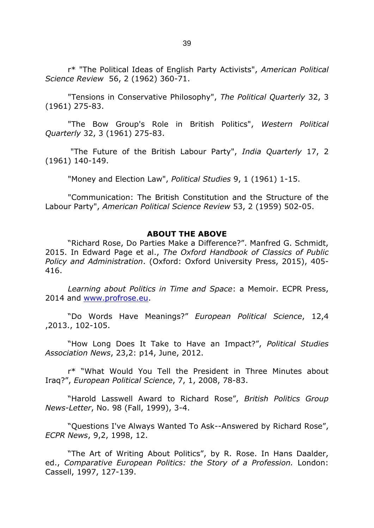r\* "The Political Ideas of English Party Activists", *American Political Science Review* 56, 2 (1962) 360-71.

"Tensions in Conservative Philosophy", *The Political Quarterly* 32, 3 (1961) 275-83.

"The Bow Group's Role in British Politics", *Western Political Quarterly* 32, 3 (1961) 275-83.

"The Future of the British Labour Party", *India Quarterly* 17, 2 (1961) 140-149.

"Money and Election Law", *Political Studies* 9, 1 (1961) 1-15.

"Communication: The British Constitution and the Structure of the Labour Party", *American Political Science Review* 53, 2 (1959) 502-05.

#### **ABOUT THE ABOVE**

"Richard Rose, Do Parties Make a Difference?". Manfred G. Schmidt, 2015. In Edward Page et al., *The Oxford Handbook of Classics of Public Policy and Administration*. (Oxford: Oxford University Press, 2015), 405- 416.

*Learning about Politics in Time and Space*: a Memoir. ECPR Press, 2014 and [www.profrose.eu.](http://www.profrose.eu/)

"Do Words Have Meanings?" *European Political Science*, 12,4 ,2013., 102-105.

"How Long Does It Take to Have an Impact?", *Political Studies Association News*, 23,2: p14, June, 2012.

r\* "What Would You Tell the President in Three Minutes about Iraq?", *European Political Science*, 7, 1, 2008, 78-83.

"Harold Lasswell Award to Richard Rose", *British Politics Group News-Letter*, No. 98 (Fall, 1999), 3-4.

"Questions I've Always Wanted To Ask--Answered by Richard Rose", *ECPR News*, 9,2, 1998, 12.

"The Art of Writing About Politics", by R. Rose. In Hans Daalder, ed., *Comparative European Politics: the Story of a Profession.* London: Cassell, 1997, 127-139.